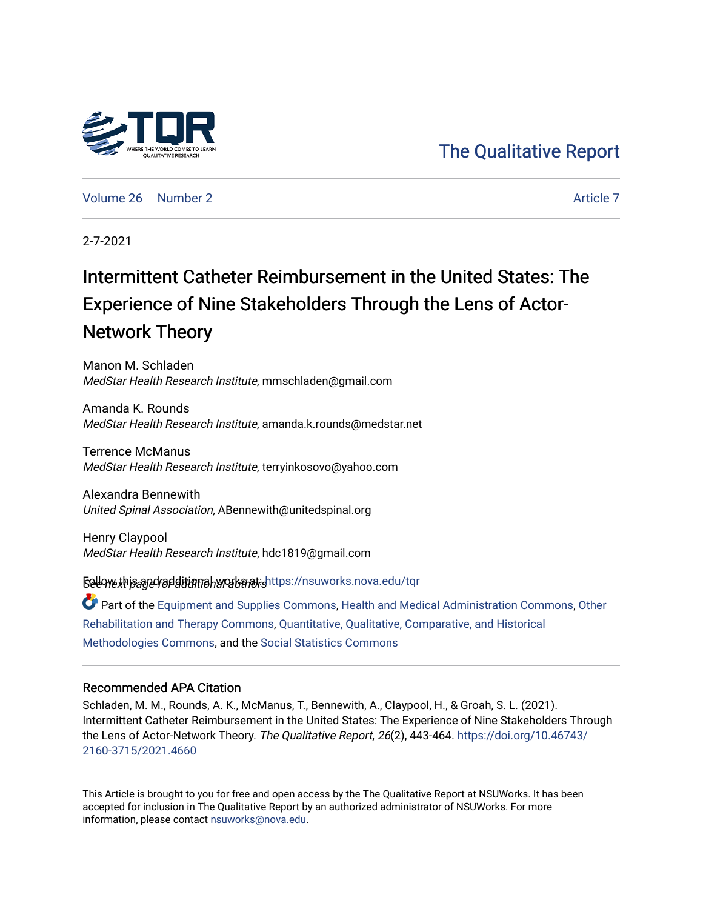

[Volume 26](https://nsuworks.nova.edu/tqr/vol26) [Number 2](https://nsuworks.nova.edu/tqr/vol26/iss2) [Article 7](https://nsuworks.nova.edu/tqr/vol26/iss2/7) Article 7 Article 7 Article 7 Article 7 Article 7 Article 7

2-7-2021

# Intermittent Catheter Reimbursement in the United States: The Experience of Nine Stakeholders Through the Lens of Actor-Network Theory

Manon M. Schladen MedStar Health Research Institute, mmschladen@gmail.com

Amanda K. Rounds MedStar Health Research Institute, amanda.k.rounds@medstar.net

Terrence McManus MedStar Health Research Institute, terryinkosovo@yahoo.com

Alexandra Bennewith United Spinal Association, ABennewith@unitedspinal.org

Henry Claypool MedStar Health Research Institute, hdc1819@gmail.com

Sellow this and radditional works at: https://nsuworks.nova.edu/tqr

Part of the [Equipment and Supplies Commons](http://network.bepress.com/hgg/discipline/944?utm_source=nsuworks.nova.edu%2Ftqr%2Fvol26%2Fiss2%2F7&utm_medium=PDF&utm_campaign=PDFCoverPages), [Health and Medical Administration Commons,](http://network.bepress.com/hgg/discipline/663?utm_source=nsuworks.nova.edu%2Ftqr%2Fvol26%2Fiss2%2F7&utm_medium=PDF&utm_campaign=PDFCoverPages) [Other](http://network.bepress.com/hgg/discipline/758?utm_source=nsuworks.nova.edu%2Ftqr%2Fvol26%2Fiss2%2F7&utm_medium=PDF&utm_campaign=PDFCoverPages) [Rehabilitation and Therapy Commons,](http://network.bepress.com/hgg/discipline/758?utm_source=nsuworks.nova.edu%2Ftqr%2Fvol26%2Fiss2%2F7&utm_medium=PDF&utm_campaign=PDFCoverPages) [Quantitative, Qualitative, Comparative, and Historical](http://network.bepress.com/hgg/discipline/423?utm_source=nsuworks.nova.edu%2Ftqr%2Fvol26%2Fiss2%2F7&utm_medium=PDF&utm_campaign=PDFCoverPages) [Methodologies Commons](http://network.bepress.com/hgg/discipline/423?utm_source=nsuworks.nova.edu%2Ftqr%2Fvol26%2Fiss2%2F7&utm_medium=PDF&utm_campaign=PDFCoverPages), and the [Social Statistics Commons](http://network.bepress.com/hgg/discipline/1275?utm_source=nsuworks.nova.edu%2Ftqr%2Fvol26%2Fiss2%2F7&utm_medium=PDF&utm_campaign=PDFCoverPages) 

#### Recommended APA Citation

Schladen, M. M., Rounds, A. K., McManus, T., Bennewith, A., Claypool, H., & Groah, S. L. (2021). Intermittent Catheter Reimbursement in the United States: The Experience of Nine Stakeholders Through the Lens of Actor-Network Theory. The Qualitative Report, 26(2), 443-464. [https://doi.org/10.46743/](https://doi.org/10.46743/2160-3715/2021.4660) [2160-3715/2021.4660](https://doi.org/10.46743/2160-3715/2021.4660)

This Article is brought to you for free and open access by the The Qualitative Report at NSUWorks. It has been accepted for inclusion in The Qualitative Report by an authorized administrator of NSUWorks. For more information, please contact [nsuworks@nova.edu.](mailto:nsuworks@nova.edu)

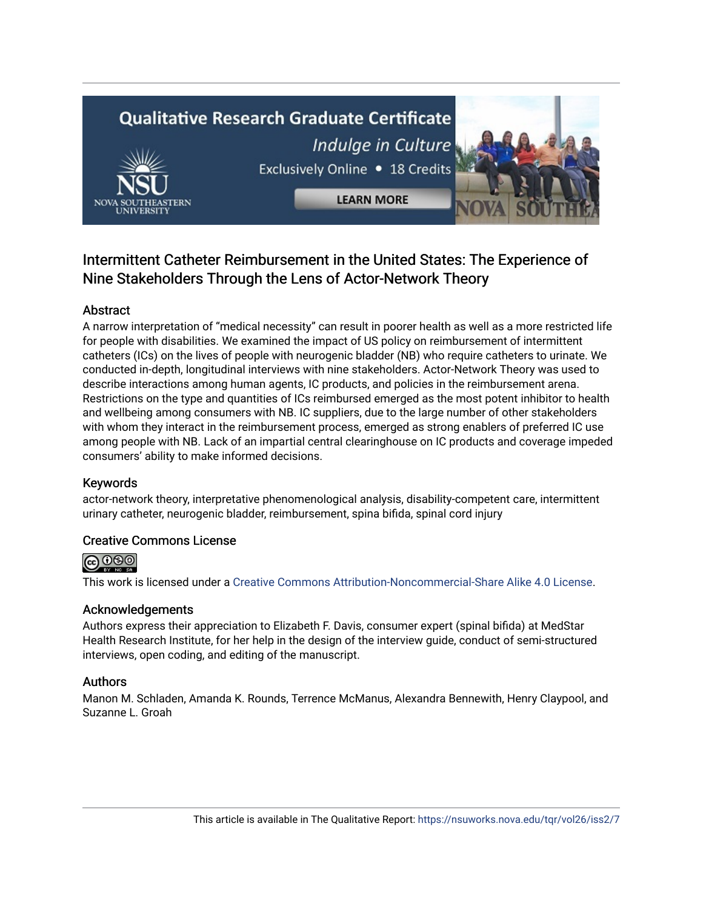# **Qualitative Research Graduate Certificate** Indulge in Culture Exclusively Online . 18 Credits



**LEARN MORE** 

# Intermittent Catheter Reimbursement in the United States: The Experience of Nine Stakeholders Through the Lens of Actor-Network Theory

# Abstract

A narrow interpretation of "medical necessity" can result in poorer health as well as a more restricted life for people with disabilities. We examined the impact of US policy on reimbursement of intermittent catheters (ICs) on the lives of people with neurogenic bladder (NB) who require catheters to urinate. We conducted in-depth, longitudinal interviews with nine stakeholders. Actor-Network Theory was used to describe interactions among human agents, IC products, and policies in the reimbursement arena. Restrictions on the type and quantities of ICs reimbursed emerged as the most potent inhibitor to health and wellbeing among consumers with NB. IC suppliers, due to the large number of other stakeholders with whom they interact in the reimbursement process, emerged as strong enablers of preferred IC use among people with NB. Lack of an impartial central clearinghouse on IC products and coverage impeded consumers' ability to make informed decisions.

## Keywords

actor-network theory, interpretative phenomenological analysis, disability-competent care, intermittent urinary catheter, neurogenic bladder, reimbursement, spina bifida, spinal cord injury

# Creative Commons License



This work is licensed under a [Creative Commons Attribution-Noncommercial-Share Alike 4.0 License](https://creativecommons.org/licenses/by-nc-sa/4.0/).

## Acknowledgements

Authors express their appreciation to Elizabeth F. Davis, consumer expert (spinal bifida) at MedStar Health Research Institute, for her help in the design of the interview guide, conduct of semi-structured interviews, open coding, and editing of the manuscript.

# Authors

Manon M. Schladen, Amanda K. Rounds, Terrence McManus, Alexandra Bennewith, Henry Claypool, and Suzanne L. Groah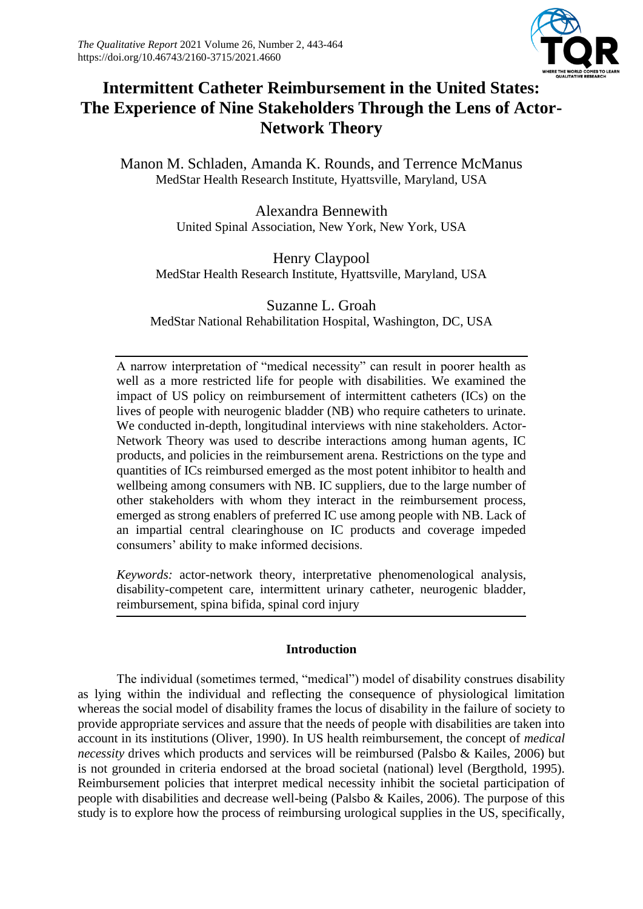

# **Intermittent Catheter Reimbursement in the United States: The Experience of Nine Stakeholders Through the Lens of Actor-Network Theory**

Manon M. Schladen, Amanda K. Rounds, and Terrence McManus MedStar Health Research Institute, Hyattsville, Maryland, USA

> Alexandra Bennewith United Spinal Association, New York, New York, USA

Henry Claypool MedStar Health Research Institute, Hyattsville, Maryland, USA

Suzanne L. Groah MedStar National Rehabilitation Hospital, Washington, DC, USA

A narrow interpretation of "medical necessity" can result in poorer health as well as a more restricted life for people with disabilities. We examined the impact of US policy on reimbursement of intermittent catheters (ICs) on the lives of people with neurogenic bladder (NB) who require catheters to urinate. We conducted in-depth, longitudinal interviews with nine stakeholders. Actor-Network Theory was used to describe interactions among human agents, IC products, and policies in the reimbursement arena. Restrictions on the type and quantities of ICs reimbursed emerged as the most potent inhibitor to health and wellbeing among consumers with NB. IC suppliers, due to the large number of other stakeholders with whom they interact in the reimbursement process, emerged as strong enablers of preferred IC use among people with NB. Lack of an impartial central clearinghouse on IC products and coverage impeded consumers' ability to make informed decisions.

*Keywords:* actor-network theory, interpretative phenomenological analysis, disability-competent care, intermittent urinary catheter, neurogenic bladder, reimbursement, spina bifida, spinal cord injury

#### **Introduction**

The individual (sometimes termed, "medical") model of disability construes disability as lying within the individual and reflecting the consequence of physiological limitation whereas the social model of disability frames the locus of disability in the failure of society to provide appropriate services and assure that the needs of people with disabilities are taken into account in its institutions (Oliver, 1990). In US health reimbursement, the concept of *medical necessity* drives which products and services will be reimbursed (Palsbo & Kailes, 2006) but is not grounded in criteria endorsed at the broad societal (national) level (Bergthold, 1995). Reimbursement policies that interpret medical necessity inhibit the societal participation of people with disabilities and decrease well-being (Palsbo & Kailes, 2006). The purpose of this study is to explore how the process of reimbursing urological supplies in the US, specifically,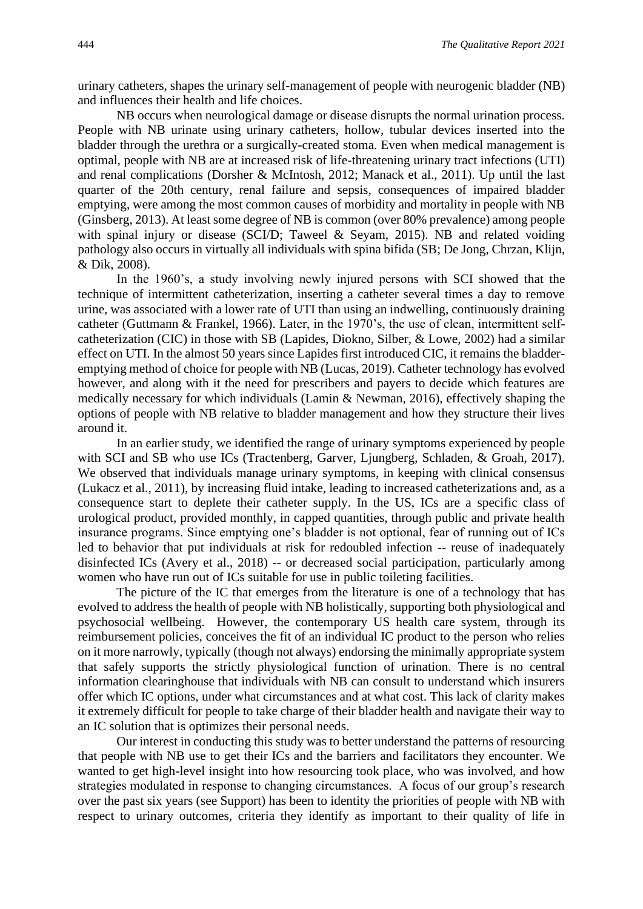urinary catheters, shapes the urinary self-management of people with neurogenic bladder (NB) and influences their health and life choices.

NB occurs when neurological damage or disease disrupts the normal urination process. People with NB urinate using urinary catheters, hollow, tubular devices inserted into the bladder through the urethra or a surgically-created stoma. Even when medical management is optimal, people with NB are at increased risk of life-threatening urinary tract infections (UTI) and renal complications (Dorsher & McIntosh, 2012; Manack et al., 2011). Up until the last quarter of the 20th century, renal failure and sepsis, consequences of impaired bladder emptying, were among the most common causes of morbidity and mortality in people with NB (Ginsberg, 2013). At least some degree of NB is common (over 80% prevalence) among people with spinal injury or disease (SCI/D; Taweel & Seyam, 2015). NB and related voiding pathology also occurs in virtually all individuals with spina bifida (SB; De Jong, Chrzan, Klijn, & Dik, 2008).

In the 1960's, a study involving newly injured persons with SCI showed that the technique of intermittent catheterization, inserting a catheter several times a day to remove urine, was associated with a lower rate of UTI than using an indwelling, continuously draining catheter (Guttmann & Frankel, 1966). Later, in the 1970's, the use of clean, intermittent selfcatheterization (CIC) in those with SB (Lapides, Diokno, Silber, & Lowe, 2002) had a similar effect on UTI. In the almost 50 years since Lapides first introduced CIC, it remains the bladderemptying method of choice for people with NB (Lucas, 2019). Catheter technology has evolved however, and along with it the need for prescribers and payers to decide which features are medically necessary for which individuals (Lamin & Newman, 2016), effectively shaping the options of people with NB relative to bladder management and how they structure their lives around it.

In an earlier study, we identified the range of urinary symptoms experienced by people with SCI and SB who use ICs (Tractenberg, Garver, Ljungberg, Schladen, & Groah, 2017). We observed that individuals manage urinary symptoms, in keeping with clinical consensus (Lukacz et al., 2011), by increasing fluid intake, leading to increased catheterizations and, as a consequence start to deplete their catheter supply. In the US, ICs are a specific class of urological product, provided monthly, in capped quantities, through public and private health insurance programs. Since emptying one's bladder is not optional, fear of running out of ICs led to behavior that put individuals at risk for redoubled infection -- reuse of inadequately disinfected ICs (Avery et al., 2018) -- or decreased social participation, particularly among women who have run out of ICs suitable for use in public toileting facilities.

The picture of the IC that emerges from the literature is one of a technology that has evolved to address the health of people with NB holistically, supporting both physiological and psychosocial wellbeing. However, the contemporary US health care system, through its reimbursement policies, conceives the fit of an individual IC product to the person who relies on it more narrowly, typically (though not always) endorsing the minimally appropriate system that safely supports the strictly physiological function of urination. There is no central information clearinghouse that individuals with NB can consult to understand which insurers offer which IC options, under what circumstances and at what cost. This lack of clarity makes it extremely difficult for people to take charge of their bladder health and navigate their way to an IC solution that is optimizes their personal needs.

Our interest in conducting this study was to better understand the patterns of resourcing that people with NB use to get their ICs and the barriers and facilitators they encounter. We wanted to get high-level insight into how resourcing took place, who was involved, and how strategies modulated in response to changing circumstances. A focus of our group's research over the past six years (see Support) has been to identity the priorities of people with NB with respect to urinary outcomes, criteria they identify as important to their quality of life in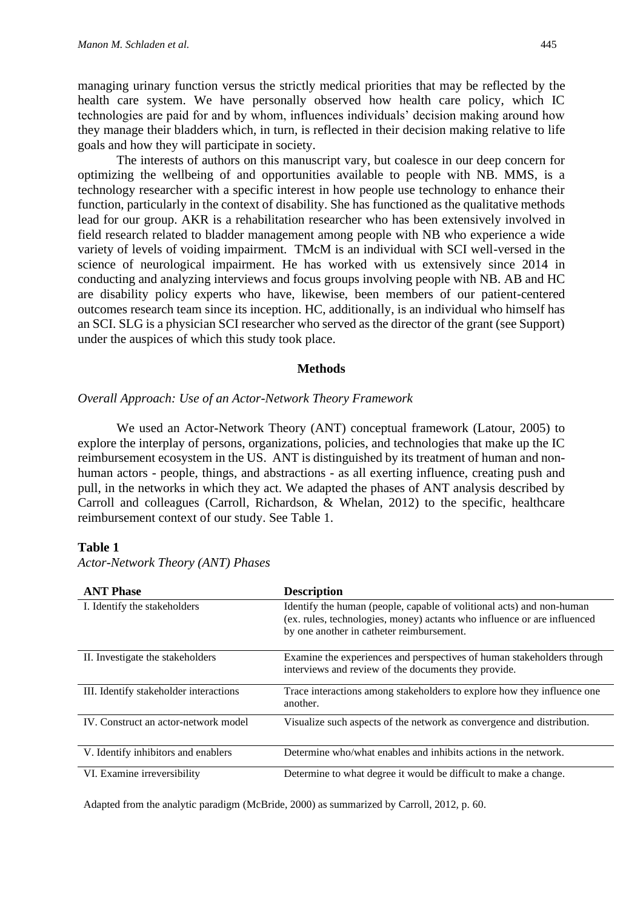managing urinary function versus the strictly medical priorities that may be reflected by the health care system. We have personally observed how health care policy, which IC technologies are paid for and by whom, influences individuals' decision making around how they manage their bladders which, in turn, is reflected in their decision making relative to life goals and how they will participate in society.

The interests of authors on this manuscript vary, but coalesce in our deep concern for optimizing the wellbeing of and opportunities available to people with NB. MMS, is a technology researcher with a specific interest in how people use technology to enhance their function, particularly in the context of disability. She has functioned as the qualitative methods lead for our group. AKR is a rehabilitation researcher who has been extensively involved in field research related to bladder management among people with NB who experience a wide variety of levels of voiding impairment. TMcM is an individual with SCI well-versed in the science of neurological impairment. He has worked with us extensively since 2014 in conducting and analyzing interviews and focus groups involving people with NB. AB and HC are disability policy experts who have, likewise, been members of our patient-centered outcomes research team since its inception. HC, additionally, is an individual who himself has an SCI. SLG is a physician SCI researcher who served as the director of the grant (see Support) under the auspices of which this study took place.

#### **Methods**

#### *Overall Approach: Use of an Actor-Network Theory Framework*

We used an Actor-Network Theory (ANT) conceptual framework (Latour, 2005) to explore the interplay of persons, organizations, policies, and technologies that make up the IC reimbursement ecosystem in the US. ANT is distinguished by its treatment of human and nonhuman actors - people, things, and abstractions - as all exerting influence, creating push and pull, in the networks in which they act. We adapted the phases of ANT analysis described by Carroll and colleagues (Carroll, Richardson, & Whelan, 2012) to the specific, healthcare reimbursement context of our study. See Table 1.

#### **Table 1**

*Actor-Network Theory (ANT) Phases*

| <b>ANT Phase</b>                       | <b>Description</b>                                                                                                                                                                             |
|----------------------------------------|------------------------------------------------------------------------------------------------------------------------------------------------------------------------------------------------|
| I. Identify the stakeholders           | Identify the human (people, capable of volitional acts) and non-human<br>(ex. rules, technologies, money) actants who influence or are influenced<br>by one another in catheter reimbursement. |
| II. Investigate the stakeholders       | Examine the experiences and perspectives of human stakeholders through<br>interviews and review of the documents they provide.                                                                 |
| III. Identify stakeholder interactions | Trace interactions among stakeholders to explore how they influence one<br>another.                                                                                                            |
| IV. Construct an actor-network model   | Visualize such aspects of the network as convergence and distribution.                                                                                                                         |
| V. Identify inhibitors and enablers    | Determine who/what enables and inhibits actions in the network.                                                                                                                                |
| VI. Examine irreversibility            | Determine to what degree it would be difficult to make a change.                                                                                                                               |

Adapted from the analytic paradigm (McBride, 2000) as summarized by Carroll, 2012, p. 60.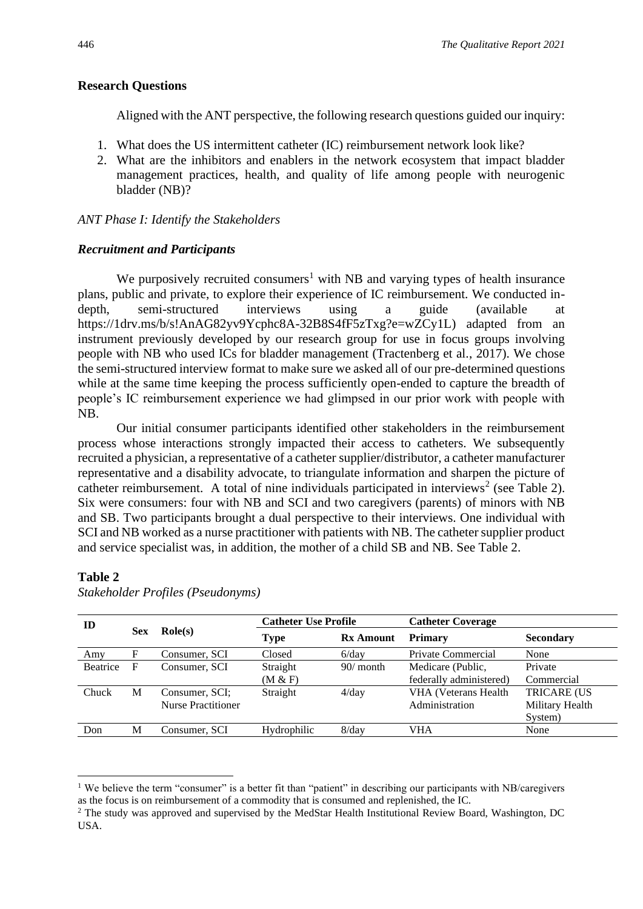#### **Research Questions**

Aligned with the ANT perspective, the following research questions guided our inquiry:

- 1. What does the US intermittent catheter (IC) reimbursement network look like?
- 2. What are the inhibitors and enablers in the network ecosystem that impact bladder management practices, health, and quality of life among people with neurogenic bladder (NB)?

#### *ANT Phase I: Identify the Stakeholders*

#### *Recruitment and Participants*

We purposively recruited consumers<sup>1</sup> with NB and varying types of health insurance plans, public and private, to explore their experience of IC reimbursement. We conducted indepth, semi-structured interviews using a guide (available at https://1drv.ms/b/s!AnAG82yv9Ycphc8A-32B8S4fF5zTxg?e=wZCy1L) adapted from an instrument previously developed by our research group for use in focus groups involving people with NB who used ICs for bladder management (Tractenberg et al., 2017). We chose the semi-structured interview format to make sure we asked all of our pre-determined questions while at the same time keeping the process sufficiently open-ended to capture the breadth of people's IC reimbursement experience we had glimpsed in our prior work with people with NB.

Our initial consumer participants identified other stakeholders in the reimbursement process whose interactions strongly impacted their access to catheters. We subsequently recruited a physician, a representative of a catheter supplier/distributor, a catheter manufacturer representative and a disability advocate, to triangulate information and sharpen the picture of catheter reimbursement. A total of nine individuals participated in interviews<sup>2</sup> (see Table 2). Six were consumers: four with NB and SCI and two caregivers (parents) of minors with NB and SB. Two participants brought a dual perspective to their interviews. One individual with SCI and NB worked as a nurse practitioner with patients with NB. The catheter supplier product and service specialist was, in addition, the mother of a child SB and NB. See Table 2.

### **Table 2**

| ID              |     | $\text{Role}(s)$          | <b>Catheter Use Profile</b> |                  | <b>Catheter Coverage</b>    |                    |
|-----------------|-----|---------------------------|-----------------------------|------------------|-----------------------------|--------------------|
|                 | Sex |                           | <b>Type</b>                 | <b>Rx Amount</b> | <b>Primary</b>              | <b>Secondary</b>   |
| Amy             | F   | Consumer, SCI             | Closed                      | $6$ /day         | Private Commercial          | None               |
| <b>Beatrice</b> | F   | Consumer, SCI             | Straight                    | $90/$ month      | Medicare (Public,           | Private            |
|                 |     |                           | (M & F)                     |                  | federally administered)     | Commercial         |
| Chuck           | М   | Consumer, SCI;            | Straight                    | $4$ /day         | <b>VHA</b> (Veterans Health | <b>TRICARE (US</b> |
|                 |     | <b>Nurse Practitioner</b> |                             |                  | Administration              | Military Health    |
|                 |     |                           |                             |                  |                             | System)            |
| Don             | М   | Consumer, SCI             | Hydrophilic                 | $8$ /day         | VHA                         | None               |
|                 |     |                           |                             |                  |                             |                    |

*Stakeholder Profiles (Pseudonyms)*

<sup>&</sup>lt;sup>1</sup> We believe the term "consumer" is a better fit than "patient" in describing our participants with NB/caregivers as the focus is on reimbursement of a commodity that is consumed and replenished, the IC.

<sup>&</sup>lt;sup>2</sup> The study was approved and supervised by the MedStar Health Institutional Review Board, Washington, DC USA.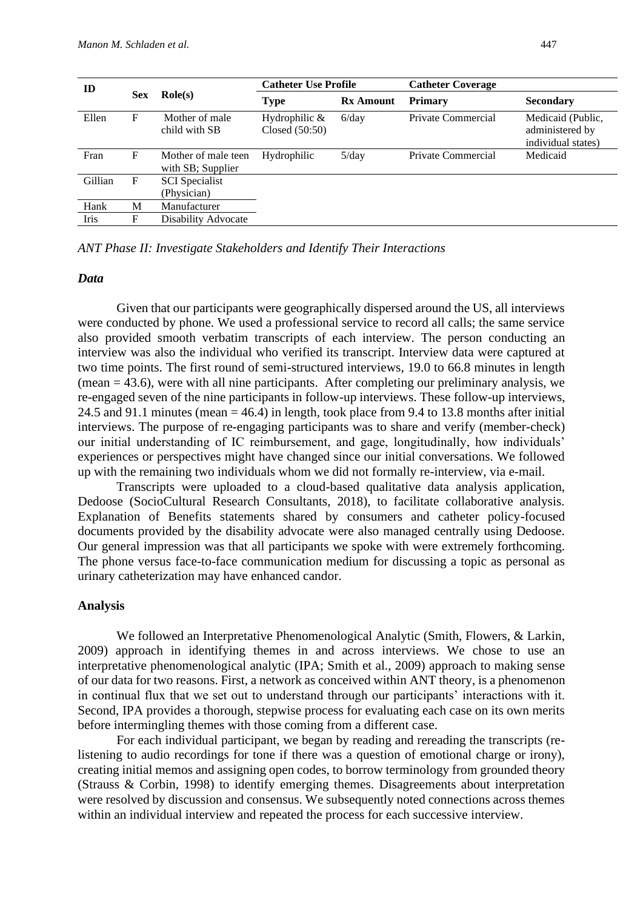| ID      |            |                                          | <b>Catheter Use Profile</b>       |                  | <b>Catheter Coverage</b> |                                                            |
|---------|------------|------------------------------------------|-----------------------------------|------------------|--------------------------|------------------------------------------------------------|
|         | <b>Sex</b> | $\textbf{Role}(s)$                       | <b>Type</b>                       | <b>Rx Amount</b> | <b>Primary</b>           | <b>Secondary</b>                                           |
| Ellen   | F          | Mother of male<br>child with SB          | Hydrophilic $&$<br>Closed (50:50) | $6$ /day         | Private Commercial       | Medicaid (Public,<br>administered by<br>individual states) |
| Fran    | F          | Mother of male teen<br>with SB; Supplier | Hydrophilic                       | $5$ /day         | Private Commercial       | Medicaid                                                   |
| Gillian | F          | <b>SCI</b> Specialist<br>(Physician)     |                                   |                  |                          |                                                            |
| Hank    | М          | Manufacturer                             |                                   |                  |                          |                                                            |
| Iris    | F          | Disability Advocate                      |                                   |                  |                          |                                                            |

*ANT Phase II: Investigate Stakeholders and Identify Their Interactions*

#### *Data*

Given that our participants were geographically dispersed around the US, all interviews were conducted by phone. We used a professional service to record all calls; the same service also provided smooth verbatim transcripts of each interview. The person conducting an interview was also the individual who verified its transcript. Interview data were captured at two time points. The first round of semi-structured interviews, 19.0 to 66.8 minutes in length (mean = 43.6), were with all nine participants. After completing our preliminary analysis, we re-engaged seven of the nine participants in follow-up interviews. These follow-up interviews, 24.5 and 91.1 minutes (mean = 46.4) in length, took place from 9.4 to 13.8 months after initial interviews. The purpose of re-engaging participants was to share and verify (member-check) our initial understanding of IC reimbursement, and gage, longitudinally, how individuals' experiences or perspectives might have changed since our initial conversations. We followed up with the remaining two individuals whom we did not formally re-interview, via e-mail.

Transcripts were uploaded to a cloud-based qualitative data analysis application, Dedoose (SocioCultural Research Consultants, 2018), to facilitate collaborative analysis. Explanation of Benefits statements shared by consumers and catheter policy-focused documents provided by the disability advocate were also managed centrally using Dedoose. Our general impression was that all participants we spoke with were extremely forthcoming. The phone versus face-to-face communication medium for discussing a topic as personal as urinary catheterization may have enhanced candor.

#### **Analysis**

We followed an Interpretative Phenomenological Analytic (Smith, Flowers, & Larkin, 2009) approach in identifying themes in and across interviews. We chose to use an interpretative phenomenological analytic (IPA; Smith et al., 2009) approach to making sense of our data for two reasons. First, a network as conceived within ANT theory, is a phenomenon in continual flux that we set out to understand through our participants' interactions with it. Second, IPA provides a thorough, stepwise process for evaluating each case on its own merits before intermingling themes with those coming from a different case.

For each individual participant, we began by reading and rereading the transcripts (relistening to audio recordings for tone if there was a question of emotional charge or irony), creating initial memos and assigning open codes, to borrow terminology from grounded theory (Strauss & Corbin, 1998) to identify emerging themes. Disagreements about interpretation were resolved by discussion and consensus. We subsequently noted connections across themes within an individual interview and repeated the process for each successive interview.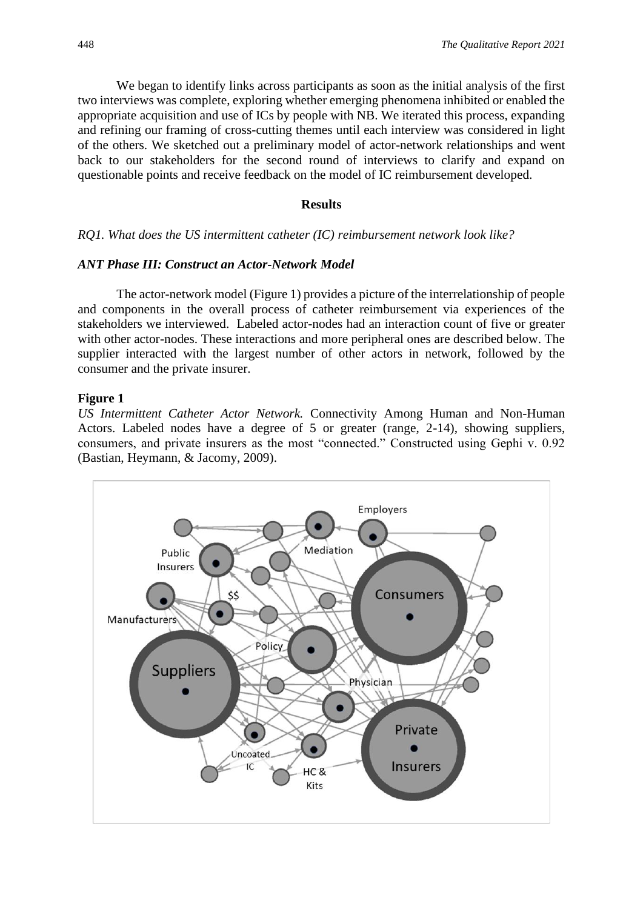We began to identify links across participants as soon as the initial analysis of the first two interviews was complete, exploring whether emerging phenomena inhibited or enabled the appropriate acquisition and use of ICs by people with NB. We iterated this process, expanding and refining our framing of cross-cutting themes until each interview was considered in light of the others. We sketched out a preliminary model of actor-network relationships and went back to our stakeholders for the second round of interviews to clarify and expand on questionable points and receive feedback on the model of IC reimbursement developed.

#### **Results**

#### *RQ1. What does the US intermittent catheter (IC) reimbursement network look like?*

#### *ANT Phase III: Construct an Actor-Network Model*

The actor-network model (Figure 1) provides a picture of the interrelationship of people and components in the overall process of catheter reimbursement via experiences of the stakeholders we interviewed. Labeled actor-nodes had an interaction count of five or greater with other actor-nodes. These interactions and more peripheral ones are described below. The supplier interacted with the largest number of other actors in network, followed by the consumer and the private insurer.

#### **Figure 1**

*US Intermittent Catheter Actor Network.* Connectivity Among Human and Non-Human Actors. Labeled nodes have a degree of 5 or greater (range, 2-14), showing suppliers, consumers, and private insurers as the most "connected." Constructed using Gephi v. 0.92 (Bastian, Heymann, & Jacomy, 2009).

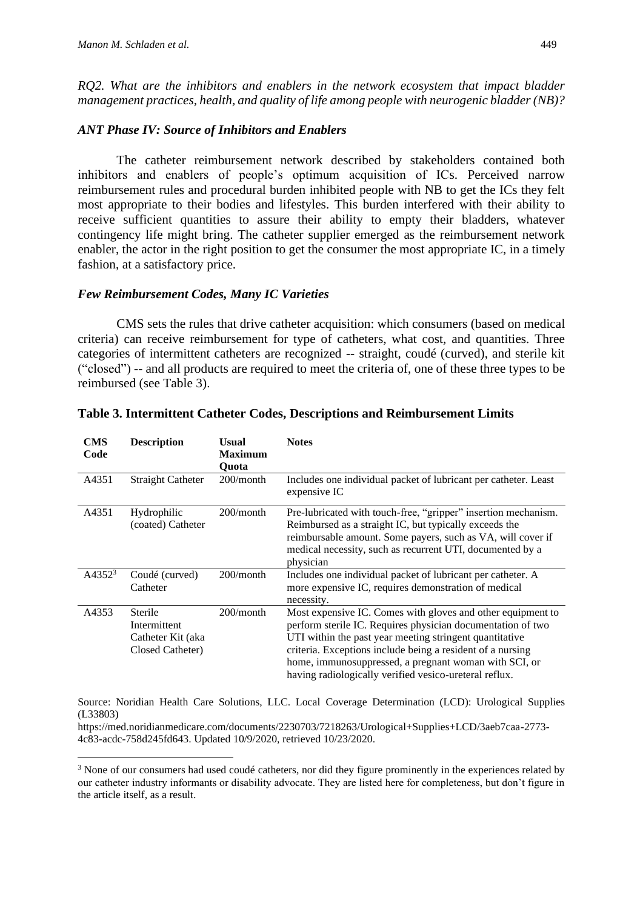*RQ2. What are the inhibitors and enablers in the network ecosystem that impact bladder management practices, health, and quality of life among people with neurogenic bladder (NB)?*

#### *ANT Phase IV: Source of Inhibitors and Enablers*

The catheter reimbursement network described by stakeholders contained both inhibitors and enablers of people's optimum acquisition of ICs. Perceived narrow reimbursement rules and procedural burden inhibited people with NB to get the ICs they felt most appropriate to their bodies and lifestyles. This burden interfered with their ability to receive sufficient quantities to assure their ability to empty their bladders, whatever contingency life might bring. The catheter supplier emerged as the reimbursement network enabler, the actor in the right position to get the consumer the most appropriate IC, in a timely fashion, at a satisfactory price.

#### *Few Reimbursement Codes, Many IC Varieties*

CMS sets the rules that drive catheter acquisition: which consumers (based on medical criteria) can receive reimbursement for type of catheters, what cost, and quantities. Three categories of intermittent catheters are recognized -- straight, coudé (curved), and sterile kit ("closed") -- and all products are required to meet the criteria of, one of these three types to be reimbursed (see Table 3).

| <b>CMS</b><br>Code | <b>Description</b>                                               | Usual<br><b>Maximum</b><br><b>Ouota</b> | <b>Notes</b>                                                                                                                                                                                                                                                                                                                                                           |
|--------------------|------------------------------------------------------------------|-----------------------------------------|------------------------------------------------------------------------------------------------------------------------------------------------------------------------------------------------------------------------------------------------------------------------------------------------------------------------------------------------------------------------|
| A4351              | <b>Straight Catheter</b>                                         | 200/month                               | Includes one individual packet of lubricant per catheter. Least<br>expensive IC                                                                                                                                                                                                                                                                                        |
| A4351              | Hydrophilic<br>(coated) Catheter                                 | 200/month                               | Pre-lubricated with touch-free, "gripper" insertion mechanism.<br>Reimbursed as a straight IC, but typically exceeds the<br>reimbursable amount. Some payers, such as VA, will cover if<br>medical necessity, such as recurrent UTI, documented by a<br>physician                                                                                                      |
| $A4352^3$          | Coudé (curved)<br>Catheter                                       | 200/month                               | Includes one individual packet of lubricant per catheter. A<br>more expensive IC, requires demonstration of medical<br>necessity.                                                                                                                                                                                                                                      |
| A4353              | Sterile<br>Intermittent<br>Catheter Kit (aka<br>Closed Catheter) | $200/m$ onth                            | Most expensive IC. Comes with gloves and other equipment to<br>perform sterile IC. Requires physician documentation of two<br>UTI within the past year meeting stringent quantitative<br>criteria. Exceptions include being a resident of a nursing<br>home, immunosuppressed, a pregnant woman with SCI, or<br>having radiologically verified vesico-ureteral reflux. |

#### **Table 3. Intermittent Catheter Codes, Descriptions and Reimbursement Limits**

Source: Noridian Health Care Solutions, LLC. Local Coverage Determination (LCD): Urological Supplies (L33803)

https://med.noridianmedicare.com/documents/2230703/7218263/Urological+Supplies+LCD/3aeb7caa-2773- 4c83-acdc-758d245fd643. Updated 10/9/2020, retrieved 10/23/2020.

<sup>&</sup>lt;sup>3</sup> None of our consumers had used coudé catheters, nor did they figure prominently in the experiences related by our catheter industry informants or disability advocate. They are listed here for completeness, but don't figure in the article itself, as a result.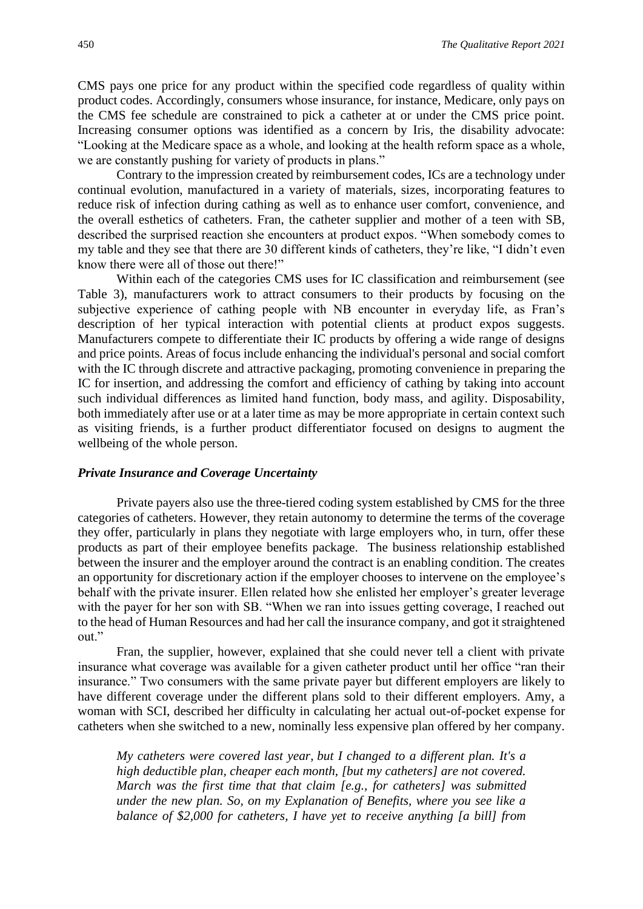CMS pays one price for any product within the specified code regardless of quality within product codes. Accordingly, consumers whose insurance, for instance, Medicare, only pays on the CMS fee schedule are constrained to pick a catheter at or under the CMS price point. Increasing consumer options was identified as a concern by Iris, the disability advocate: "Looking at the Medicare space as a whole, and looking at the health reform space as a whole, we are constantly pushing for variety of products in plans."

Contrary to the impression created by reimbursement codes, ICs are a technology under continual evolution, manufactured in a variety of materials, sizes, incorporating features to reduce risk of infection during cathing as well as to enhance user comfort, convenience, and the overall esthetics of catheters. Fran, the catheter supplier and mother of a teen with SB, described the surprised reaction she encounters at product expos. "When somebody comes to my table and they see that there are 30 different kinds of catheters, they're like, "I didn't even know there were all of those out there!"

Within each of the categories CMS uses for IC classification and reimbursement (see Table 3), manufacturers work to attract consumers to their products by focusing on the subjective experience of cathing people with NB encounter in everyday life, as Fran's description of her typical interaction with potential clients at product expos suggests. Manufacturers compete to differentiate their IC products by offering a wide range of designs and price points. Areas of focus include enhancing the individual's personal and social comfort with the IC through discrete and attractive packaging, promoting convenience in preparing the IC for insertion, and addressing the comfort and efficiency of cathing by taking into account such individual differences as limited hand function, body mass, and agility. Disposability, both immediately after use or at a later time as may be more appropriate in certain context such as visiting friends, is a further product differentiator focused on designs to augment the wellbeing of the whole person.

#### *Private Insurance and Coverage Uncertainty*

Private payers also use the three-tiered coding system established by CMS for the three categories of catheters. However, they retain autonomy to determine the terms of the coverage they offer, particularly in plans they negotiate with large employers who, in turn, offer these products as part of their employee benefits package. The business relationship established between the insurer and the employer around the contract is an enabling condition. The creates an opportunity for discretionary action if the employer chooses to intervene on the employee's behalf with the private insurer. Ellen related how she enlisted her employer's greater leverage with the payer for her son with SB. "When we ran into issues getting coverage, I reached out to the head of Human Resources and had her call the insurance company, and got it straightened out."

Fran, the supplier, however, explained that she could never tell a client with private insurance what coverage was available for a given catheter product until her office "ran their insurance." Two consumers with the same private payer but different employers are likely to have different coverage under the different plans sold to their different employers. Amy, a woman with SCI, described her difficulty in calculating her actual out-of-pocket expense for catheters when she switched to a new, nominally less expensive plan offered by her company.

*My catheters were covered last year, but I changed to a different plan. It's a high deductible plan, cheaper each month, [but my catheters] are not covered. March was the first time that that claim [e.g., for catheters] was submitted under the new plan. So, on my Explanation of Benefits, where you see like a balance of \$2,000 for catheters, I have yet to receive anything [a bill] from*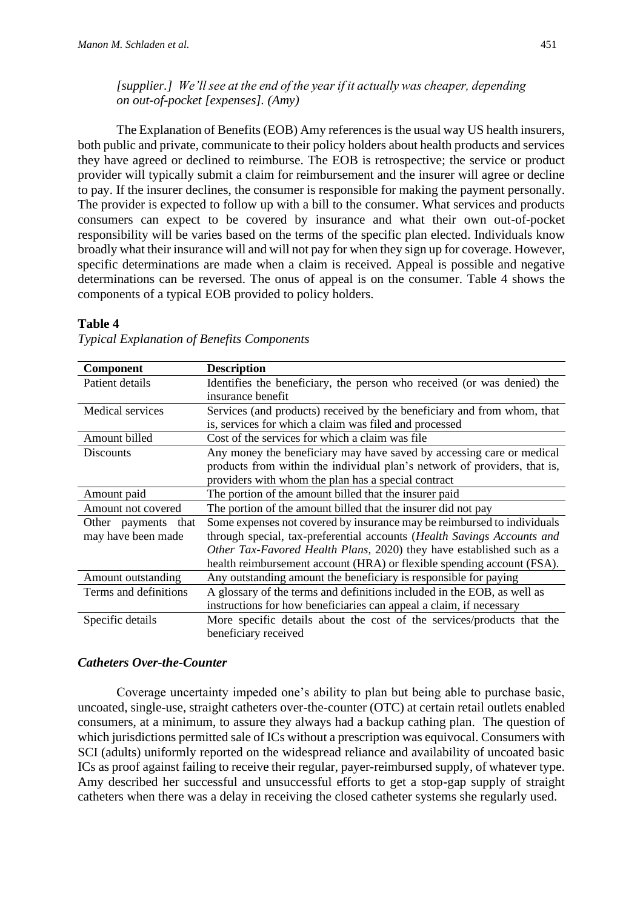*[supplier.] We'll see at the end of the year if it actually was cheaper, depending on out-of-pocket [expenses]. (Amy)*

The Explanation of Benefits (EOB) Amy references is the usual way US health insurers, both public and private, communicate to their policy holders about health products and services they have agreed or declined to reimburse. The EOB is retrospective; the service or product provider will typically submit a claim for reimbursement and the insurer will agree or decline to pay. If the insurer declines, the consumer is responsible for making the payment personally. The provider is expected to follow up with a bill to the consumer. What services and products consumers can expect to be covered by insurance and what their own out-of-pocket responsibility will be varies based on the terms of the specific plan elected. Individuals know broadly what their insurance will and will not pay for when they sign up for coverage. However, specific determinations are made when a claim is received. Appeal is possible and negative determinations can be reversed. The onus of appeal is on the consumer. Table 4 shows the components of a typical EOB provided to policy holders.

#### **Table 4**

| <b>Component</b>       | <b>Description</b>                                                        |
|------------------------|---------------------------------------------------------------------------|
| Patient details        | Identifies the beneficiary, the person who received (or was denied) the   |
|                        | insurance benefit                                                         |
| Medical services       | Services (and products) received by the beneficiary and from whom, that   |
|                        | is, services for which a claim was filed and processed                    |
| Amount billed          | Cost of the services for which a claim was file                           |
| <b>Discounts</b>       | Any money the beneficiary may have saved by accessing care or medical     |
|                        | products from within the individual plan's network of providers, that is, |
|                        | providers with whom the plan has a special contract                       |
| Amount paid            | The portion of the amount billed that the insurer paid                    |
| Amount not covered     | The portion of the amount billed that the insurer did not pay             |
| that<br>Other payments | Some expenses not covered by insurance may be reimbursed to individuals   |
| may have been made     | through special, tax-preferential accounts (Health Savings Accounts and   |
|                        | Other Tax-Favored Health Plans, 2020) they have established such as a     |
|                        | health reimbursement account (HRA) or flexible spending account (FSA).    |
| Amount outstanding     | Any outstanding amount the beneficiary is responsible for paying          |
| Terms and definitions  | A glossary of the terms and definitions included in the EOB, as well as   |
|                        | instructions for how beneficiaries can appeal a claim, if necessary       |
| Specific details       | More specific details about the cost of the services/products that the    |
|                        | beneficiary received                                                      |

#### *Typical Explanation of Benefits Components*

#### *Catheters Over-the-Counter*

Coverage uncertainty impeded one's ability to plan but being able to purchase basic, uncoated, single-use, straight catheters over-the-counter (OTC) at certain retail outlets enabled consumers, at a minimum, to assure they always had a backup cathing plan. The question of which jurisdictions permitted sale of ICs without a prescription was equivocal. Consumers with SCI (adults) uniformly reported on the widespread reliance and availability of uncoated basic ICs as proof against failing to receive their regular, payer-reimbursed supply, of whatever type. Amy described her successful and unsuccessful efforts to get a stop-gap supply of straight catheters when there was a delay in receiving the closed catheter systems she regularly used.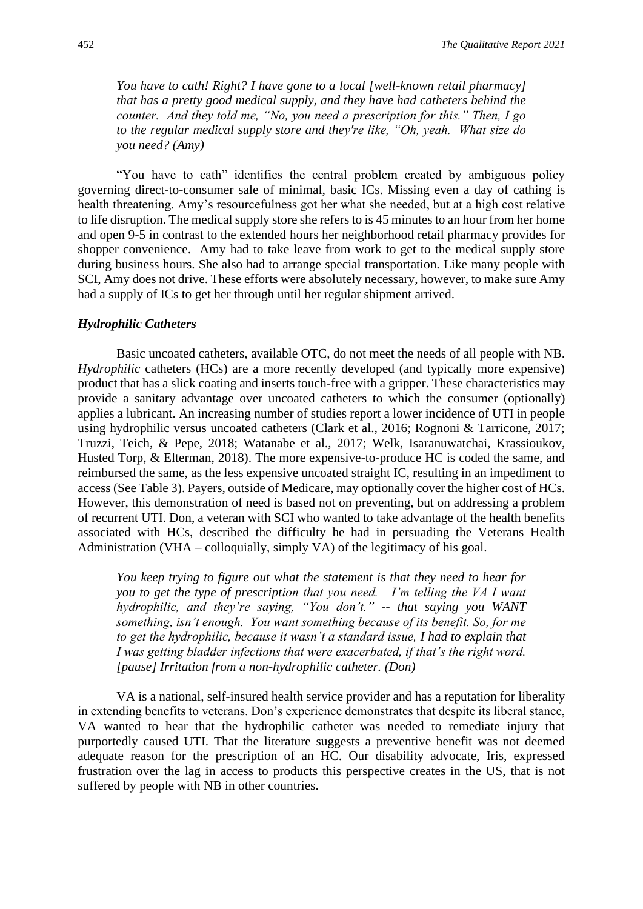*You have to cath! Right? I have gone to a local [well-known retail pharmacy] that has a pretty good medical supply, and they have had catheters behind the counter. And they told me, "No, you need a prescription for this." Then, I go to the regular medical supply store and they're like, "Oh, yeah. What size do you need? (Amy)*

"You have to cath" identifies the central problem created by ambiguous policy governing direct-to-consumer sale of minimal, basic ICs. Missing even a day of cathing is health threatening. Amy's resourcefulness got her what she needed, but at a high cost relative to life disruption. The medical supply store she refers to is 45 minutes to an hour from her home and open 9-5 in contrast to the extended hours her neighborhood retail pharmacy provides for shopper convenience. Amy had to take leave from work to get to the medical supply store during business hours. She also had to arrange special transportation. Like many people with SCI, Amy does not drive. These efforts were absolutely necessary, however, to make sure Amy had a supply of ICs to get her through until her regular shipment arrived.

#### *Hydrophilic Catheters*

Basic uncoated catheters, available OTC, do not meet the needs of all people with NB. *Hydrophilic* catheters (HCs) are a more recently developed (and typically more expensive) product that has a slick coating and inserts touch-free with a gripper. These characteristics may provide a sanitary advantage over uncoated catheters to which the consumer (optionally) applies a lubricant. An increasing number of studies report a lower incidence of UTI in people using hydrophilic versus uncoated catheters (Clark et al., 2016; Rognoni & Tarricone, 2017; Truzzi, Teich, & Pepe, 2018; Watanabe et al., 2017; Welk, Isaranuwatchai, Krassioukov, Husted Torp, & Elterman, 2018). The more expensive-to-produce HC is coded the same, and reimbursed the same, as the less expensive uncoated straight IC, resulting in an impediment to access (See Table 3). Payers, outside of Medicare, may optionally cover the higher cost of HCs. However, this demonstration of need is based not on preventing, but on addressing a problem of recurrent UTI. Don, a veteran with SCI who wanted to take advantage of the health benefits associated with HCs, described the difficulty he had in persuading the Veterans Health Administration (VHA – colloquially, simply VA) of the legitimacy of his goal.

*You keep trying to figure out what the statement is that they need to hear for you to get the type of prescription that you need. I'm telling the VA I want hydrophilic, and they're saying, "You don't." -- that saying you WANT something, isn't enough. You want something because of its benefit. So, for me to get the hydrophilic, because it wasn't a standard issue, I had to explain that I was getting bladder infections that were exacerbated, if that's the right word. [pause] Irritation from a non-hydrophilic catheter. (Don)*

VA is a national, self-insured health service provider and has a reputation for liberality in extending benefits to veterans. Don's experience demonstrates that despite its liberal stance, VA wanted to hear that the hydrophilic catheter was needed to remediate injury that purportedly caused UTI. That the literature suggests a preventive benefit was not deemed adequate reason for the prescription of an HC. Our disability advocate, Iris, expressed frustration over the lag in access to products this perspective creates in the US, that is not suffered by people with NB in other countries.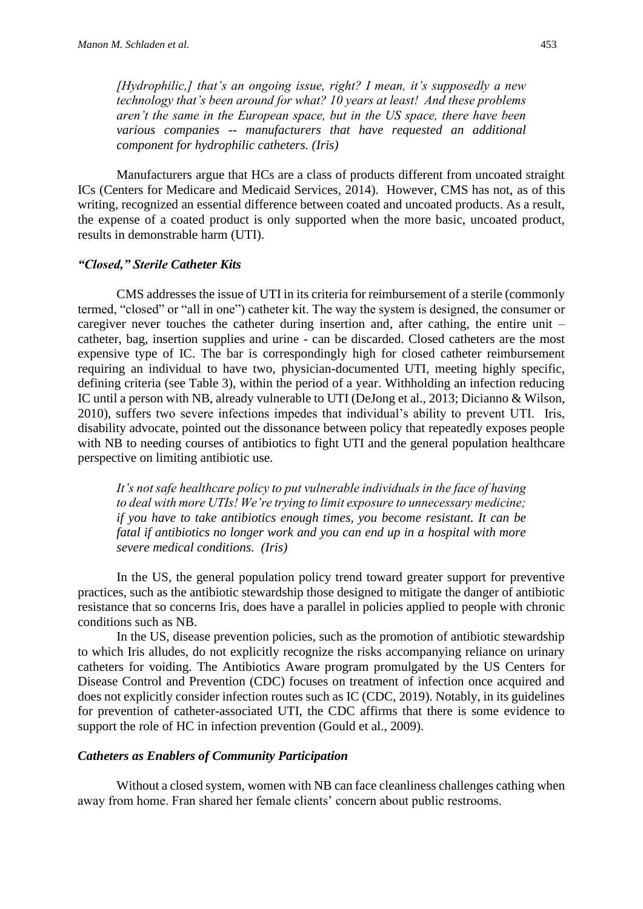*[Hydrophilic,] that's an ongoing issue, right? I mean, it's supposedly a new technology that's been around for what? 10 years at least! And these problems aren't the same in the European space, but in the US space, there have been various companies -- manufacturers that have requested an additional component for hydrophilic catheters. (Iris)*

Manufacturers argue that HCs are a class of products different from uncoated straight ICs (Centers for Medicare and Medicaid Services, 2014). However, CMS has not, as of this writing, recognized an essential difference between coated and uncoated products. As a result, the expense of a coated product is only supported when the more basic, uncoated product, results in demonstrable harm (UTI).

#### *"Closed," Sterile Catheter Kits*

CMS addresses the issue of UTI in its criteria for reimbursement of a sterile (commonly termed, "closed" or "all in one") catheter kit. The way the system is designed, the consumer or caregiver never touches the catheter during insertion and, after cathing, the entire unit – catheter, bag, insertion supplies and urine - can be discarded. Closed catheters are the most expensive type of IC. The bar is correspondingly high for closed catheter reimbursement requiring an individual to have two, physician-documented UTI, meeting highly specific, defining criteria (see Table 3), within the period of a year. Withholding an infection reducing IC until a person with NB, already vulnerable to UTI (DeJong et al., 2013; Dicianno & Wilson, 2010), suffers two severe infections impedes that individual's ability to prevent UTI. Iris, disability advocate, pointed out the dissonance between policy that repeatedly exposes people with NB to needing courses of antibiotics to fight UTI and the general population healthcare perspective on limiting antibiotic use.

*It's not safe healthcare policy to put vulnerable individuals in the face of having to deal with more UTIs! We're trying to limit exposure to unnecessary medicine; if you have to take antibiotics enough times, you become resistant. It can be fatal if antibiotics no longer work and you can end up in a hospital with more severe medical conditions. (Iris)*

In the US, the general population policy trend toward greater support for preventive practices, such as the antibiotic stewardship those designed to mitigate the danger of antibiotic resistance that so concerns Iris, does have a parallel in policies applied to people with chronic conditions such as NB.

In the US, disease prevention policies, such as the promotion of antibiotic stewardship to which Iris alludes, do not explicitly recognize the risks accompanying reliance on urinary catheters for voiding. The Antibiotics Aware program promulgated by the US Centers for Disease Control and Prevention (CDC) focuses on treatment of infection once acquired and does not explicitly consider infection routes such as IC (CDC, 2019). Notably, in its guidelines for prevention of catheter-associated UTI, the CDC affirms that there is some evidence to support the role of HC in infection prevention (Gould et al., 2009).

#### *Catheters as Enablers of Community Participation*

Without a closed system, women with NB can face cleanliness challenges cathing when away from home. Fran shared her female clients' concern about public restrooms.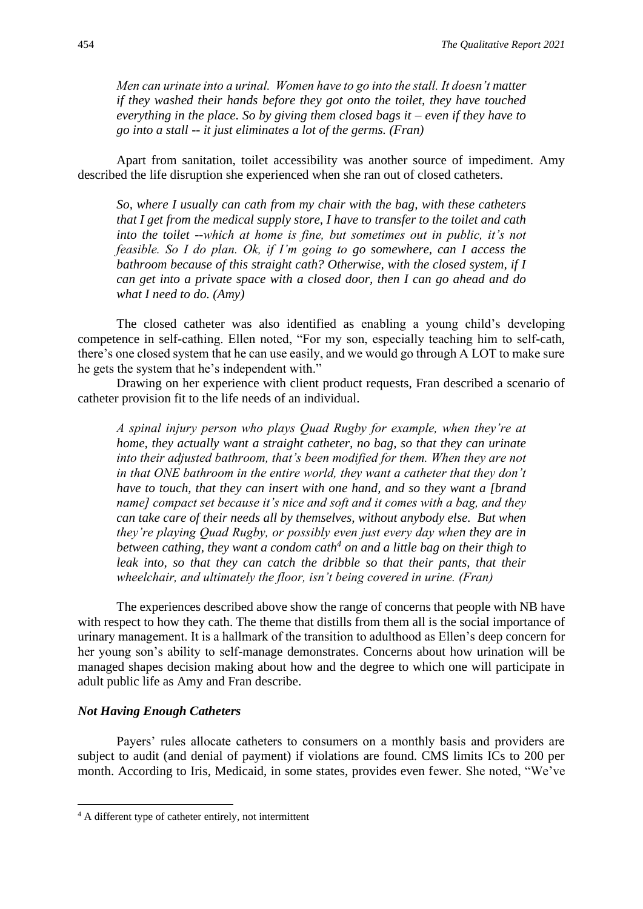*Men can urinate into a urinal. Women have to go into the stall. It doesn't matter if they washed their hands before they got onto the toilet, they have touched everything in the place. So by giving them closed bags it – even if they have to go into a stall -- it just eliminates a lot of the germs. (Fran)*

Apart from sanitation, toilet accessibility was another source of impediment. Amy described the life disruption she experienced when she ran out of closed catheters.

*So, where I usually can cath from my chair with the bag, with these catheters that I get from the medical supply store, I have to transfer to the toilet and cath into the toilet --which at home is fine, but sometimes out in public, it's not feasible. So I do plan. Ok, if I'm going to go somewhere, can I access the bathroom because of this straight cath? Otherwise, with the closed system, if I can get into a private space with a closed door, then I can go ahead and do what I need to do. (Amy)*

The closed catheter was also identified as enabling a young child's developing competence in self-cathing. Ellen noted, "For my son, especially teaching him to self-cath, there's one closed system that he can use easily, and we would go through A LOT to make sure he gets the system that he's independent with."

Drawing on her experience with client product requests, Fran described a scenario of catheter provision fit to the life needs of an individual.

*A spinal injury person who plays Quad Rugby for example, when they're at home, they actually want a straight catheter, no bag, so that they can urinate into their adjusted bathroom, that's been modified for them. When they are not in that ONE bathroom in the entire world, they want a catheter that they don't have to touch, that they can insert with one hand, and so they want a [brand name] compact set because it's nice and soft and it comes with a bag, and they can take care of their needs all by themselves, without anybody else. But when they're playing Quad Rugby, or possibly even just every day when they are in between cathing, they want a condom cath<sup>4</sup> on and a little bag on their thigh to leak into, so that they can catch the dribble so that their pants, that their wheelchair, and ultimately the floor, isn't being covered in urine. (Fran)*

The experiences described above show the range of concerns that people with NB have with respect to how they cath. The theme that distills from them all is the social importance of urinary management. It is a hallmark of the transition to adulthood as Ellen's deep concern for her young son's ability to self-manage demonstrates. Concerns about how urination will be managed shapes decision making about how and the degree to which one will participate in adult public life as Amy and Fran describe.

#### *Not Having Enough Catheters*

Payers' rules allocate catheters to consumers on a monthly basis and providers are subject to audit (and denial of payment) if violations are found. CMS limits ICs to 200 per month. According to Iris, Medicaid, in some states, provides even fewer. She noted, "We've

<sup>4</sup> A different type of catheter entirely, not intermittent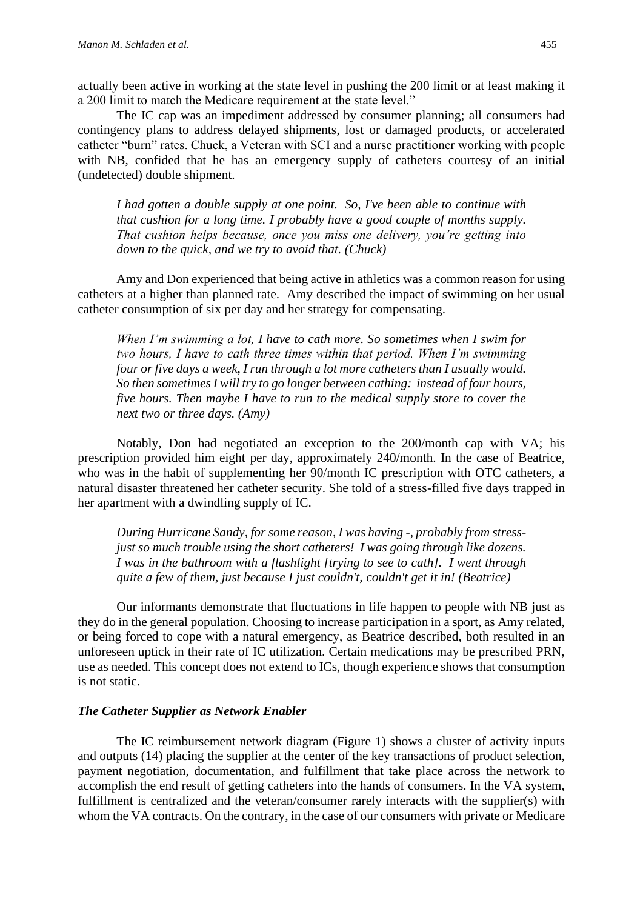actually been active in working at the state level in pushing the 200 limit or at least making it a 200 limit to match the Medicare requirement at the state level."

The IC cap was an impediment addressed by consumer planning; all consumers had contingency plans to address delayed shipments, lost or damaged products, or accelerated catheter "burn" rates. Chuck, a Veteran with SCI and a nurse practitioner working with people with NB, confided that he has an emergency supply of catheters courtesy of an initial (undetected) double shipment.

*I had gotten a double supply at one point. So, I've been able to continue with that cushion for a long time. I probably have a good couple of months supply. That cushion helps because, once you miss one delivery, you're getting into down to the quick, and we try to avoid that. (Chuck)*

Amy and Don experienced that being active in athletics was a common reason for using catheters at a higher than planned rate. Amy described the impact of swimming on her usual catheter consumption of six per day and her strategy for compensating.

*When I'm swimming a lot, I have to cath more. So sometimes when I swim for two hours, I have to cath three times within that period. When I'm swimming four or five days a week, I run through a lot more catheters than I usually would. So then sometimes I will try to go longer between cathing: instead of four hours, five hours. Then maybe I have to run to the medical supply store to cover the next two or three days. (Amy)*

Notably, Don had negotiated an exception to the 200/month cap with VA; his prescription provided him eight per day, approximately 240/month. In the case of Beatrice, who was in the habit of supplementing her 90/month IC prescription with OTC catheters, a natural disaster threatened her catheter security. She told of a stress-filled five days trapped in her apartment with a dwindling supply of IC.

*During Hurricane Sandy, for some reason, I was having -, probably from stressjust so much trouble using the short catheters! I was going through like dozens. I was in the bathroom with a flashlight [trying to see to cath]. I went through quite a few of them, just because I just couldn't, couldn't get it in! (Beatrice)*

Our informants demonstrate that fluctuations in life happen to people with NB just as they do in the general population. Choosing to increase participation in a sport, as Amy related, or being forced to cope with a natural emergency, as Beatrice described, both resulted in an unforeseen uptick in their rate of IC utilization. Certain medications may be prescribed PRN, use as needed. This concept does not extend to ICs, though experience shows that consumption is not static.

#### *The Catheter Supplier as Network Enabler*

The IC reimbursement network diagram (Figure 1) shows a cluster of activity inputs and outputs (14) placing the supplier at the center of the key transactions of product selection, payment negotiation, documentation, and fulfillment that take place across the network to accomplish the end result of getting catheters into the hands of consumers. In the VA system, fulfillment is centralized and the veteran/consumer rarely interacts with the supplier(s) with whom the VA contracts. On the contrary, in the case of our consumers with private or Medicare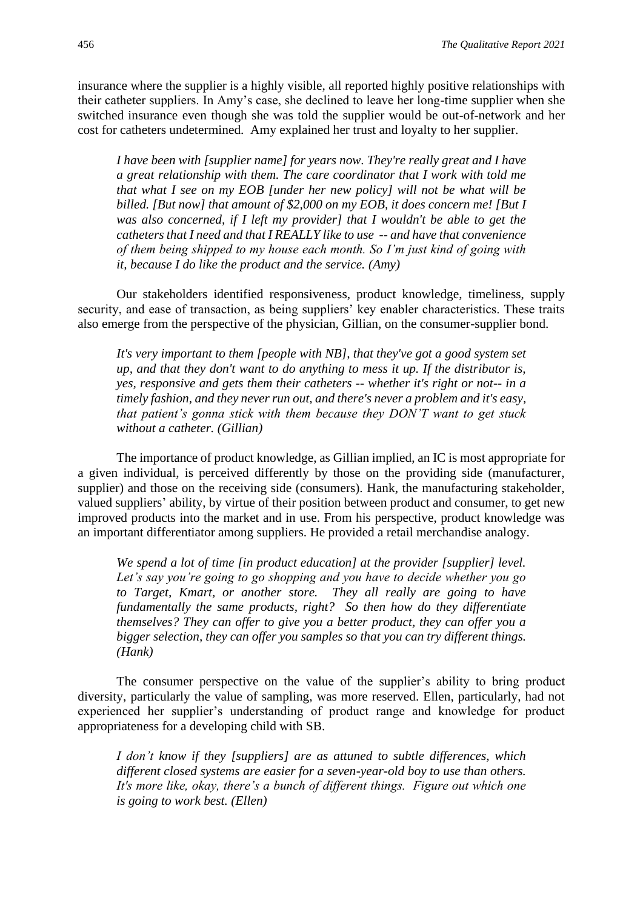insurance where the supplier is a highly visible, all reported highly positive relationships with their catheter suppliers. In Amy's case, she declined to leave her long-time supplier when she switched insurance even though she was told the supplier would be out-of-network and her cost for catheters undetermined. Amy explained her trust and loyalty to her supplier.

*I have been with [supplier name] for years now. They're really great and I have a great relationship with them. The care coordinator that I work with told me that what I see on my EOB [under her new policy] will not be what will be billed. [But now] that amount of \$2,000 on my EOB, it does concern me! [But I was also concerned, if I left my provider] that I wouldn't be able to get the catheters that I need and that I REALLY like to use -- and have that convenience of them being shipped to my house each month. So I'm just kind of going with it, because I do like the product and the service. (Amy)*

Our stakeholders identified responsiveness, product knowledge, timeliness, supply security, and ease of transaction, as being suppliers' key enabler characteristics. These traits also emerge from the perspective of the physician, Gillian, on the consumer-supplier bond.

*It's very important to them [people with NB], that they've got a good system set up, and that they don't want to do anything to mess it up. If the distributor is, yes, responsive and gets them their catheters -- whether it's right or not-- in a timely fashion, and they never run out, and there's never a problem and it's easy, that patient's gonna stick with them because they DON'T want to get stuck without a catheter. (Gillian)*

The importance of product knowledge, as Gillian implied, an IC is most appropriate for a given individual, is perceived differently by those on the providing side (manufacturer, supplier) and those on the receiving side (consumers). Hank, the manufacturing stakeholder, valued suppliers' ability, by virtue of their position between product and consumer, to get new improved products into the market and in use. From his perspective, product knowledge was an important differentiator among suppliers. He provided a retail merchandise analogy.

*We spend a lot of time [in product education] at the provider [supplier] level. Let's say you're going to go shopping and you have to decide whether you go to Target, Kmart, or another store. They all really are going to have fundamentally the same products, right? So then how do they differentiate themselves? They can offer to give you a better product, they can offer you a bigger selection, they can offer you samples so that you can try different things. (Hank)*

The consumer perspective on the value of the supplier's ability to bring product diversity, particularly the value of sampling, was more reserved. Ellen, particularly, had not experienced her supplier's understanding of product range and knowledge for product appropriateness for a developing child with SB.

*I don't know if they [suppliers] are as attuned to subtle differences, which different closed systems are easier for a seven-year-old boy to use than others. It's more like, okay, there's a bunch of different things. Figure out which one is going to work best. (Ellen)*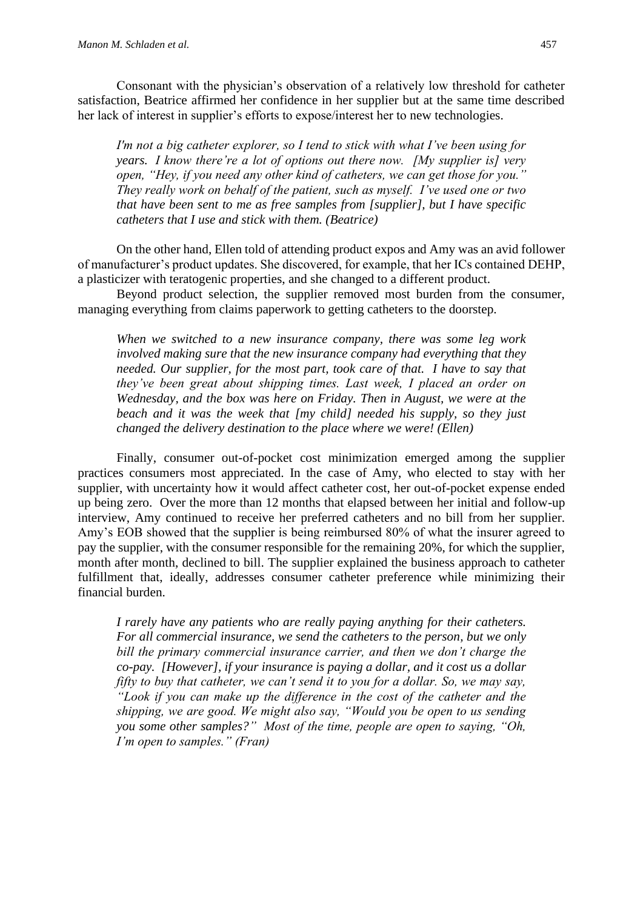Consonant with the physician's observation of a relatively low threshold for catheter satisfaction, Beatrice affirmed her confidence in her supplier but at the same time described her lack of interest in supplier's efforts to expose/interest her to new technologies.

*I'm not a big catheter explorer, so I tend to stick with what I've been using for years. I know there're a lot of options out there now. [My supplier is] very open, "Hey, if you need any other kind of catheters, we can get those for you." They really work on behalf of the patient, such as myself. I've used one or two that have been sent to me as free samples from [supplier], but I have specific catheters that I use and stick with them. (Beatrice)* 

On the other hand, Ellen told of attending product expos and Amy was an avid follower of manufacturer's product updates. She discovered, for example, that her ICs contained DEHP, a plasticizer with teratogenic properties, and she changed to a different product.

Beyond product selection, the supplier removed most burden from the consumer, managing everything from claims paperwork to getting catheters to the doorstep.

*When we switched to a new insurance company, there was some leg work involved making sure that the new insurance company had everything that they needed. Our supplier, for the most part, took care of that. I have to say that they've been great about shipping times. Last week, I placed an order on Wednesday, and the box was here on Friday. Then in August, we were at the beach and it was the week that [my child] needed his supply, so they just changed the delivery destination to the place where we were! (Ellen)*

Finally, consumer out-of-pocket cost minimization emerged among the supplier practices consumers most appreciated. In the case of Amy, who elected to stay with her supplier, with uncertainty how it would affect catheter cost, her out-of-pocket expense ended up being zero. Over the more than 12 months that elapsed between her initial and follow-up interview, Amy continued to receive her preferred catheters and no bill from her supplier. Amy's EOB showed that the supplier is being reimbursed 80% of what the insurer agreed to pay the supplier, with the consumer responsible for the remaining 20%, for which the supplier, month after month, declined to bill. The supplier explained the business approach to catheter fulfillment that, ideally, addresses consumer catheter preference while minimizing their financial burden.

*I rarely have any patients who are really paying anything for their catheters. For all commercial insurance, we send the catheters to the person, but we only bill the primary commercial insurance carrier, and then we don't charge the co-pay. [However], if your insurance is paying a dollar, and it cost us a dollar fifty to buy that catheter, we can't send it to you for a dollar. So, we may say, "Look if you can make up the difference in the cost of the catheter and the shipping, we are good. We might also say, "Would you be open to us sending you some other samples?" Most of the time, people are open to saying, "Oh, I'm open to samples." (Fran)*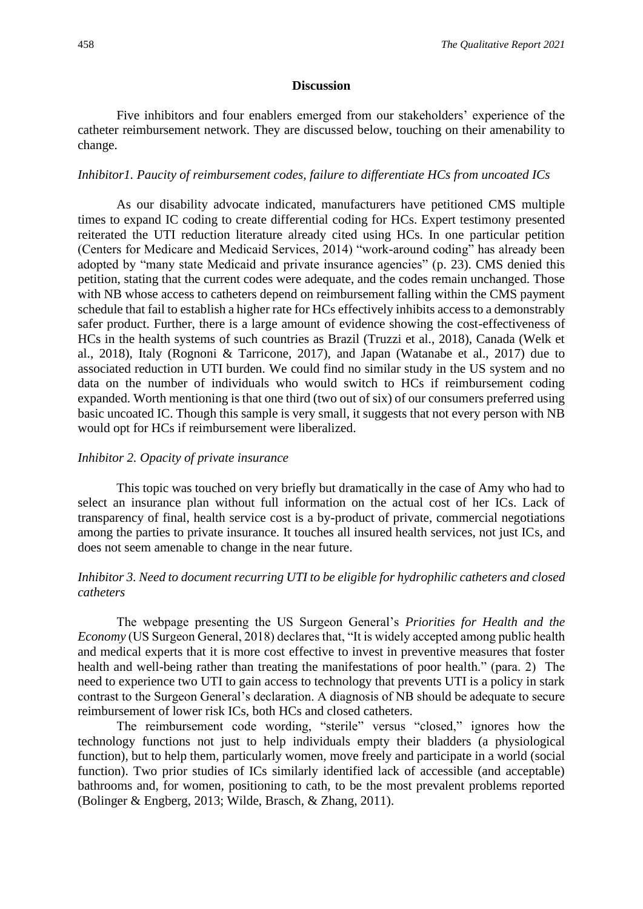#### **Discussion**

Five inhibitors and four enablers emerged from our stakeholders' experience of the catheter reimbursement network. They are discussed below, touching on their amenability to change.

#### *Inhibitor1. Paucity of reimbursement codes, failure to differentiate HCs from uncoated ICs*

As our disability advocate indicated, manufacturers have petitioned CMS multiple times to expand IC coding to create differential coding for HCs. Expert testimony presented reiterated the UTI reduction literature already cited using HCs. In one particular petition (Centers for Medicare and Medicaid Services, 2014) "work-around coding" has already been adopted by "many state Medicaid and private insurance agencies" (p. 23). CMS denied this petition, stating that the current codes were adequate, and the codes remain unchanged. Those with NB whose access to catheters depend on reimbursement falling within the CMS payment schedule that fail to establish a higher rate for HCs effectively inhibits access to a demonstrably safer product. Further, there is a large amount of evidence showing the cost-effectiveness of HCs in the health systems of such countries as Brazil (Truzzi et al., 2018), Canada (Welk et al., 2018), Italy (Rognoni & Tarricone, 2017), and Japan (Watanabe et al., 2017) due to associated reduction in UTI burden. We could find no similar study in the US system and no data on the number of individuals who would switch to HCs if reimbursement coding expanded. Worth mentioning is that one third (two out of six) of our consumers preferred using basic uncoated IC. Though this sample is very small, it suggests that not every person with NB would opt for HCs if reimbursement were liberalized.

#### *Inhibitor 2. Opacity of private insurance*

This topic was touched on very briefly but dramatically in the case of Amy who had to select an insurance plan without full information on the actual cost of her ICs. Lack of transparency of final, health service cost is a by-product of private, commercial negotiations among the parties to private insurance. It touches all insured health services, not just ICs, and does not seem amenable to change in the near future.

#### *Inhibitor 3. Need to document recurring UTI to be eligible for hydrophilic catheters and closed catheters*

The webpage presenting the US Surgeon General's *Priorities for Health and the Economy* (US Surgeon General, 2018) declares that, "It is widely accepted among public health and medical experts that it is more cost effective to invest in preventive measures that foster health and well-being rather than treating the manifestations of poor health." (para. 2) The need to experience two UTI to gain access to technology that prevents UTI is a policy in stark contrast to the Surgeon General's declaration. A diagnosis of NB should be adequate to secure reimbursement of lower risk ICs, both HCs and closed catheters.

The reimbursement code wording, "sterile" versus "closed," ignores how the technology functions not just to help individuals empty their bladders (a physiological function), but to help them, particularly women, move freely and participate in a world (social function). Two prior studies of ICs similarly identified lack of accessible (and acceptable) bathrooms and, for women, positioning to cath, to be the most prevalent problems reported (Bolinger & Engberg, 2013; Wilde, Brasch, & Zhang, 2011).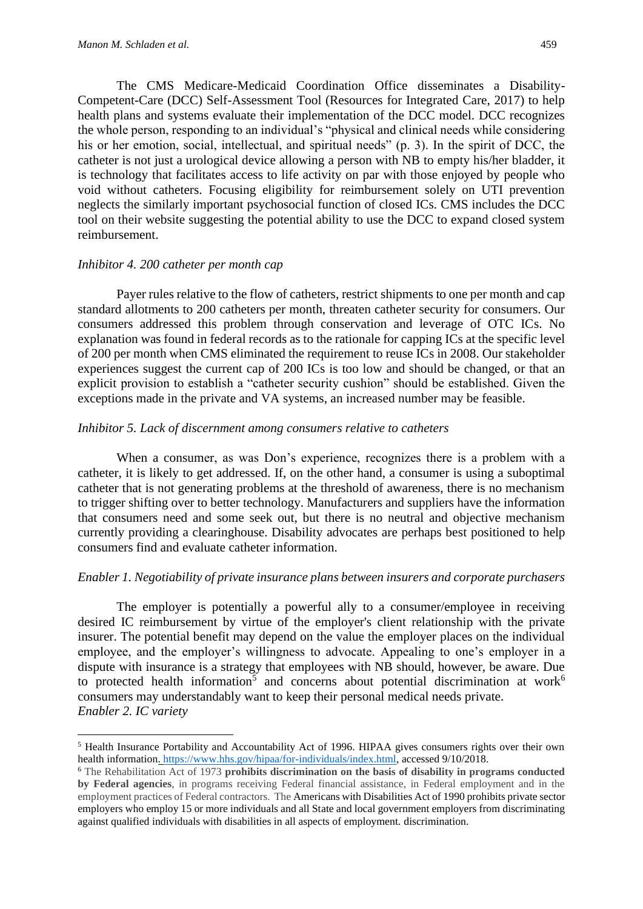The CMS Medicare-Medicaid Coordination Office disseminates a Disability-Competent-Care (DCC) Self-Assessment Tool (Resources for Integrated Care, 2017) to help health plans and systems evaluate their implementation of the DCC model. DCC recognizes the whole person, responding to an individual's "physical and clinical needs while considering his or her emotion, social, intellectual, and spiritual needs" (p. 3). In the spirit of DCC, the catheter is not just a urological device allowing a person with NB to empty his/her bladder, it is technology that facilitates access to life activity on par with those enjoyed by people who void without catheters. Focusing eligibility for reimbursement solely on UTI prevention neglects the similarly important psychosocial function of closed ICs. CMS includes the DCC tool on their website suggesting the potential ability to use the DCC to expand closed system reimbursement.

#### *Inhibitor 4. 200 catheter per month cap*

Payer rules relative to the flow of catheters, restrict shipments to one per month and cap standard allotments to 200 catheters per month, threaten catheter security for consumers. Our consumers addressed this problem through conservation and leverage of OTC ICs. No explanation was found in federal records as to the rationale for capping ICs at the specific level of 200 per month when CMS eliminated the requirement to reuse ICs in 2008. Our stakeholder experiences suggest the current cap of 200 ICs is too low and should be changed, or that an explicit provision to establish a "catheter security cushion" should be established. Given the exceptions made in the private and VA systems, an increased number may be feasible.

#### *Inhibitor 5. Lack of discernment among consumers relative to catheters*

When a consumer, as was Don's experience, recognizes there is a problem with a catheter, it is likely to get addressed. If, on the other hand, a consumer is using a suboptimal catheter that is not generating problems at the threshold of awareness, there is no mechanism to trigger shifting over to better technology. Manufacturers and suppliers have the information that consumers need and some seek out, but there is no neutral and objective mechanism currently providing a clearinghouse. Disability advocates are perhaps best positioned to help consumers find and evaluate catheter information.

#### *Enabler 1. Negotiability of private insurance plans between insurers and corporate purchasers*

The employer is potentially a powerful ally to a consumer/employee in receiving desired IC reimbursement by virtue of the employer's client relationship with the private insurer. The potential benefit may depend on the value the employer places on the individual employee, and the employer's willingness to advocate. Appealing to one's employer in a dispute with insurance is a strategy that employees with NB should, however, be aware. Due to protected health information<sup>5</sup> and concerns about potential discrimination at work<sup>6</sup> consumers may understandably want to keep their personal medical needs private. *Enabler 2. IC variety*

<sup>5</sup> Health Insurance Portability and Accountability Act of 1996. HIPAA gives consumers rights over their own health information. [https://www.hhs.gov/hipaa/for-individuals/index.html,](https://www.hhs.gov/hipaa/for-individuals/index.html) accessed 9/10/2018.

<sup>6</sup> The Rehabilitation Act of 1973 **prohibits discrimination on the basis of disability in programs conducted by Federal agencies**, in programs receiving Federal financial assistance, in Federal employment and in the employment practices of Federal contractors. The Americans with Disabilities Act of 1990 prohibits private sector employers who employ 15 or more individuals and all State and local government employers from discriminating against qualified individuals with disabilities in all aspects of employment. discrimination.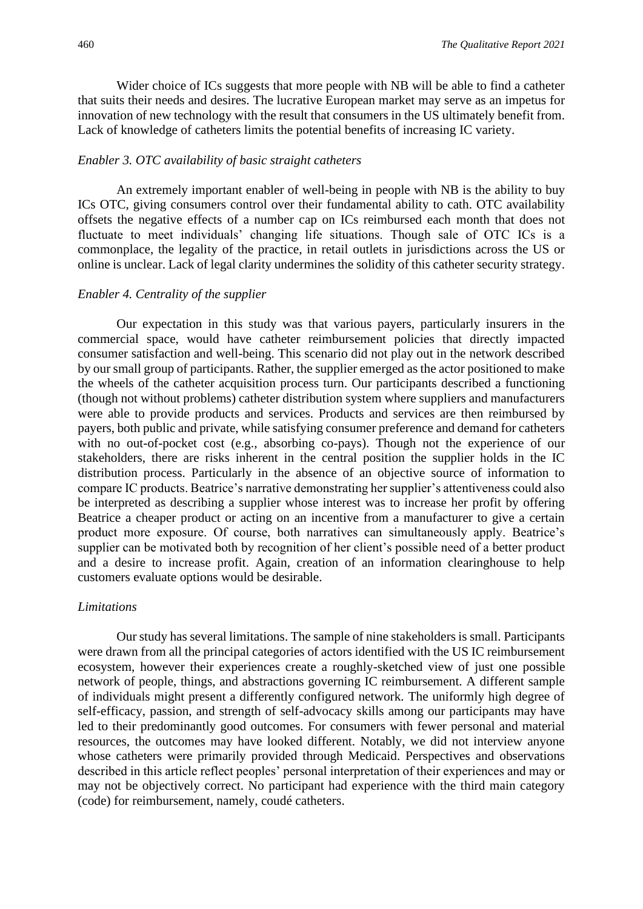Wider choice of ICs suggests that more people with NB will be able to find a catheter that suits their needs and desires. The lucrative European market may serve as an impetus for innovation of new technology with the result that consumers in the US ultimately benefit from. Lack of knowledge of catheters limits the potential benefits of increasing IC variety.

#### *Enabler 3. OTC availability of basic straight catheters*

An extremely important enabler of well-being in people with NB is the ability to buy ICs OTC, giving consumers control over their fundamental ability to cath. OTC availability offsets the negative effects of a number cap on ICs reimbursed each month that does not fluctuate to meet individuals' changing life situations. Though sale of OTC ICs is a commonplace, the legality of the practice, in retail outlets in jurisdictions across the US or online is unclear. Lack of legal clarity undermines the solidity of this catheter security strategy.

#### *Enabler 4. Centrality of the supplier*

Our expectation in this study was that various payers, particularly insurers in the commercial space, would have catheter reimbursement policies that directly impacted consumer satisfaction and well-being. This scenario did not play out in the network described by our small group of participants. Rather, the supplier emerged as the actor positioned to make the wheels of the catheter acquisition process turn. Our participants described a functioning (though not without problems) catheter distribution system where suppliers and manufacturers were able to provide products and services. Products and services are then reimbursed by payers, both public and private, while satisfying consumer preference and demand for catheters with no out-of-pocket cost (e.g., absorbing co-pays). Though not the experience of our stakeholders, there are risks inherent in the central position the supplier holds in the IC distribution process. Particularly in the absence of an objective source of information to compare IC products. Beatrice's narrative demonstrating her supplier's attentiveness could also be interpreted as describing a supplier whose interest was to increase her profit by offering Beatrice a cheaper product or acting on an incentive from a manufacturer to give a certain product more exposure. Of course, both narratives can simultaneously apply. Beatrice's supplier can be motivated both by recognition of her client's possible need of a better product and a desire to increase profit. Again, creation of an information clearinghouse to help customers evaluate options would be desirable.

#### *Limitations*

Our study has several limitations. The sample of nine stakeholders is small. Participants were drawn from all the principal categories of actors identified with the US IC reimbursement ecosystem, however their experiences create a roughly-sketched view of just one possible network of people, things, and abstractions governing IC reimbursement. A different sample of individuals might present a differently configured network. The uniformly high degree of self-efficacy, passion, and strength of self-advocacy skills among our participants may have led to their predominantly good outcomes. For consumers with fewer personal and material resources, the outcomes may have looked different. Notably, we did not interview anyone whose catheters were primarily provided through Medicaid. Perspectives and observations described in this article reflect peoples' personal interpretation of their experiences and may or may not be objectively correct. No participant had experience with the third main category (code) for reimbursement, namely, coudé catheters.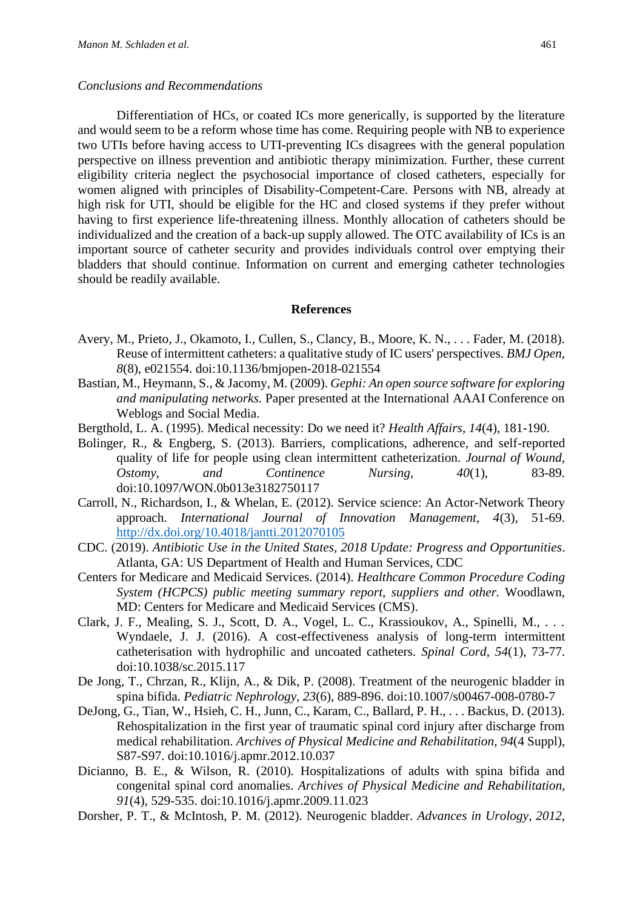#### *Conclusions and Recommendations*

Differentiation of HCs, or coated ICs more generically, is supported by the literature and would seem to be a reform whose time has come. Requiring people with NB to experience two UTIs before having access to UTI-preventing ICs disagrees with the general population perspective on illness prevention and antibiotic therapy minimization. Further, these current eligibility criteria neglect the psychosocial importance of closed catheters, especially for women aligned with principles of Disability-Competent-Care. Persons with NB, already at high risk for UTI, should be eligible for the HC and closed systems if they prefer without having to first experience life-threatening illness. Monthly allocation of catheters should be individualized and the creation of a back-up supply allowed. The OTC availability of ICs is an important source of catheter security and provides individuals control over emptying their bladders that should continue. Information on current and emerging catheter technologies should be readily available.

#### **References**

- Avery, M., Prieto, J., Okamoto, I., Cullen, S., Clancy, B., Moore, K. N., . . . Fader, M. (2018). Reuse of intermittent catheters: a qualitative study of IC users' perspectives. *BMJ Open, 8*(8), e021554. doi:10.1136/bmjopen-2018-021554
- Bastian, M., Heymann, S., & Jacomy, M. (2009). *Gephi: An open source software for exploring and manipulating networks.* Paper presented at the International AAAI Conference on Weblogs and Social Media.
- Bergthold, L. A. (1995). Medical necessity: Do we need it? *Health Affairs, 14*(4), 181-190.
- Bolinger, R., & Engberg, S. (2013). Barriers, complications, adherence, and self-reported quality of life for people using clean intermittent catheterization. *Journal of Wound, Ostomy, and Continence Nursing, 40*(1), 83-89. doi:10.1097/WON.0b013e3182750117
- Carroll, N., Richardson, I., & Whelan, E. (2012). Service science: An Actor-Network Theory approach. *International Journal of Innovation Management, 4*(3), 51-69. <http://dx.doi.org/10.4018/jantti.2012070105>
- CDC. (2019). *Antibiotic Use in the United States, 2018 Update: Progress and Opportunities*. Atlanta, GA: US Department of Health and Human Services, CDC
- Centers for Medicare and Medicaid Services. (2014). *Healthcare Common Procedure Coding System (HCPCS) public meeting summary report, suppliers and other.* Woodlawn, MD: Centers for Medicare and Medicaid Services (CMS).
- Clark, J. F., Mealing, S. J., Scott, D. A., Vogel, L. C., Krassioukov, A., Spinelli, M., . . . Wyndaele, J. J. (2016). A cost-effectiveness analysis of long-term intermittent catheterisation with hydrophilic and uncoated catheters. *Spinal Cord, 54*(1), 73-77. doi:10.1038/sc.2015.117
- De Jong, T., Chrzan, R., Klijn, A., & Dik, P. (2008). Treatment of the neurogenic bladder in spina bifida. *Pediatric Nephrology, 23*(6), 889-896. doi:10.1007/s00467-008-0780-7
- DeJong, G., Tian, W., Hsieh, C. H., Junn, C., Karam, C., Ballard, P. H., . . . Backus, D. (2013). Rehospitalization in the first year of traumatic spinal cord injury after discharge from medical rehabilitation. *Archives of Physical Medicine and Rehabilitation, 94*(4 Suppl), S87-S97. doi:10.1016/j.apmr.2012.10.037
- Dicianno, B. E., & Wilson, R. (2010). Hospitalizations of adults with spina bifida and congenital spinal cord anomalies. *Archives of Physical Medicine and Rehabilitation, 91*(4), 529-535. doi:10.1016/j.apmr.2009.11.023
- Dorsher, P. T., & McIntosh, P. M. (2012). Neurogenic bladder. *Advances in Urology, 2012*,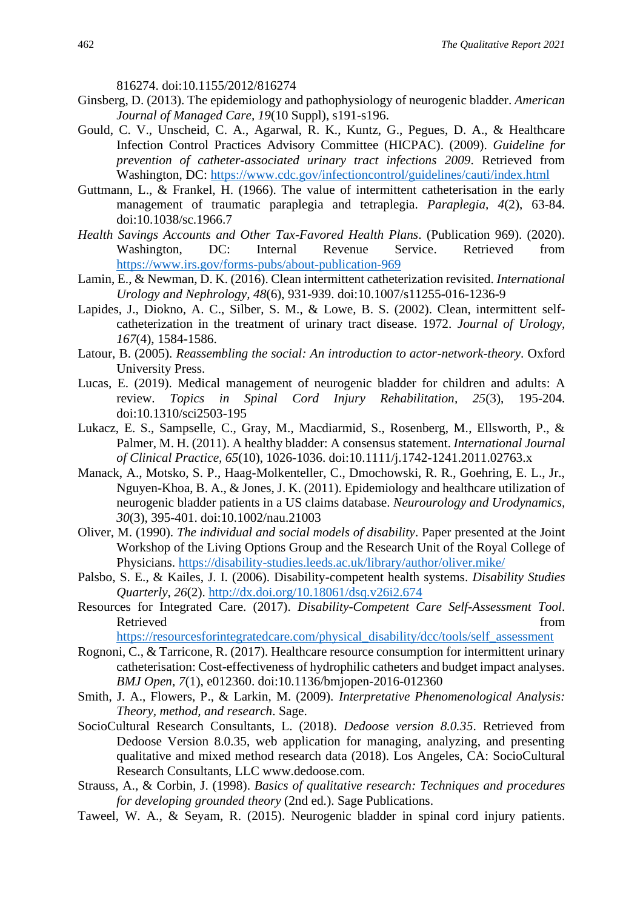816274. doi:10.1155/2012/816274

- Ginsberg, D. (2013). The epidemiology and pathophysiology of neurogenic bladder. *American Journal of Managed Care, 19*(10 Suppl), s191-s196.
- Gould, C. V., Unscheid, C. A., Agarwal, R. K., Kuntz, G., Pegues, D. A., & Healthcare Infection Control Practices Advisory Committee (HICPAC). (2009). *Guideline for prevention of catheter-associated urinary tract infections 2009*. Retrieved from Washington, DC:<https://www.cdc.gov/infectioncontrol/guidelines/cauti/index.html>
- Guttmann, L., & Frankel, H. (1966). The value of intermittent catheterisation in the early management of traumatic paraplegia and tetraplegia. *Paraplegia, 4*(2), 63-84. doi:10.1038/sc.1966.7
- *Health Savings Accounts and Other Tax-Favored Health Plans*. (Publication 969). (2020). Washington, DC: Internal Revenue Service. Retrieved from <https://www.irs.gov/forms-pubs/about-publication-969>
- Lamin, E., & Newman, D. K. (2016). Clean intermittent catheterization revisited. *International Urology and Nephrology, 48*(6), 931-939. doi:10.1007/s11255-016-1236-9
- Lapides, J., Diokno, A. C., Silber, S. M., & Lowe, B. S. (2002). Clean, intermittent selfcatheterization in the treatment of urinary tract disease. 1972. *Journal of Urology, 167*(4), 1584-1586.
- Latour, B. (2005). *Reassembling the social: An introduction to actor-network-theory*. Oxford University Press.
- Lucas, E. (2019). Medical management of neurogenic bladder for children and adults: A review. *Topics in Spinal Cord Injury Rehabilitation, 25*(3), 195-204. doi:10.1310/sci2503-195
- Lukacz, E. S., Sampselle, C., Gray, M., Macdiarmid, S., Rosenberg, M., Ellsworth, P., & Palmer, M. H. (2011). A healthy bladder: A consensus statement. *International Journal of Clinical Practice, 65*(10), 1026-1036. doi:10.1111/j.1742-1241.2011.02763.x
- Manack, A., Motsko, S. P., Haag-Molkenteller, C., Dmochowski, R. R., Goehring, E. L., Jr., Nguyen-Khoa, B. A., & Jones, J. K. (2011). Epidemiology and healthcare utilization of neurogenic bladder patients in a US claims database. *Neurourology and Urodynamics, 30*(3), 395-401. doi:10.1002/nau.21003
- Oliver, M. (1990). *The individual and social models of disability*. Paper presented at the Joint Workshop of the Living Options Group and the Research Unit of the Royal College of Physicians. <https://disability-studies.leeds.ac.uk/library/author/oliver.mike/>
- Palsbo, S. E., & Kailes, J. I. (2006). Disability-competent health systems. *Disability Studies Quarterly, 26*(2).<http://dx.doi.org/10.18061/dsq.v26i2.674>
- Resources for Integrated Care. (2017). *Disability-Competent Care Self-Assessment Tool*. Retrieved from the state of the state of the state of the state of the state of the state of the state of the state of the state of the state of the state of the state of the state of the state of the state of the state of [https://resourcesforintegratedcare.com/physical\\_disability/dcc/tools/self\\_assessment](https://resourcesforintegratedcare.com/physical_disability/dcc/tools/self_assessment)
- Rognoni, C., & Tarricone, R. (2017). Healthcare resource consumption for intermittent urinary
- catheterisation: Cost-effectiveness of hydrophilic catheters and budget impact analyses. *BMJ Open, 7*(1), e012360. doi:10.1136/bmjopen-2016-012360
- Smith, J. A., Flowers, P., & Larkin, M. (2009). *Interpretative Phenomenological Analysis: Theory, method, and research*. Sage.
- SocioCultural Research Consultants, L. (2018). *Dedoose version 8.0.35*. Retrieved from Dedoose Version 8.0.35, web application for managing, analyzing, and presenting qualitative and mixed method research data (2018). Los Angeles, CA: SocioCultural Research Consultants, LLC www.dedoose.com.
- Strauss, A., & Corbin, J. (1998). *Basics of qualitative research: Techniques and procedures for developing grounded theory* (2nd ed.). Sage Publications.
- Taweel, W. A., & Seyam, R. (2015). Neurogenic bladder in spinal cord injury patients.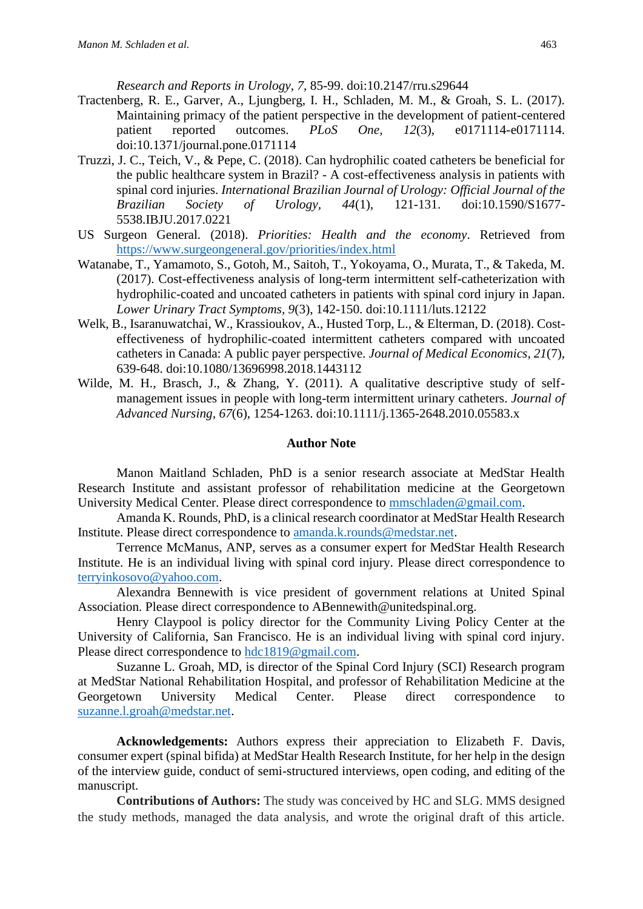*Research and Reports in Urology, 7*, 85-99. doi:10.2147/rru.s29644

- Tractenberg, R. E., Garver, A., Ljungberg, I. H., Schladen, M. M., & Groah, S. L. (2017). Maintaining primacy of the patient perspective in the development of patient-centered patient reported outcomes. *PLoS One, 12*(3), e0171114-e0171114. doi:10.1371/journal.pone.0171114
- Truzzi, J. C., Teich, V., & Pepe, C. (2018). Can hydrophilic coated catheters be beneficial for the public healthcare system in Brazil? - A cost-effectiveness analysis in patients with spinal cord injuries. *International Brazilian Journal of Urology: Official Journal of the Brazilian Society of Urology, 44*(1), 121-131. doi:10.1590/S1677- 5538.IBJU.2017.0221
- US Surgeon General. (2018). *Priorities: Health and the economy*. Retrieved from <https://www.surgeongeneral.gov/priorities/index.html>
- Watanabe, T., Yamamoto, S., Gotoh, M., Saitoh, T., Yokoyama, O., Murata, T., & Takeda, M. (2017). Cost-effectiveness analysis of long-term intermittent self-catheterization with hydrophilic-coated and uncoated catheters in patients with spinal cord injury in Japan. *Lower Urinary Tract Symptoms, 9*(3), 142-150. doi:10.1111/luts.12122
- Welk, B., Isaranuwatchai, W., Krassioukov, A., Husted Torp, L., & Elterman, D. (2018). Costeffectiveness of hydrophilic-coated intermittent catheters compared with uncoated catheters in Canada: A public payer perspective. *Journal of Medical Economics, 21*(7), 639-648. doi:10.1080/13696998.2018.1443112
- Wilde, M. H., Brasch, J., & Zhang, Y. (2011). A qualitative descriptive study of selfmanagement issues in people with long-term intermittent urinary catheters. *Journal of Advanced Nursing, 67*(6), 1254-1263. doi:10.1111/j.1365-2648.2010.05583.x

#### **Author Note**

Manon Maitland Schladen, PhD is a senior research associate at MedStar Health Research Institute and assistant professor of rehabilitation medicine at the Georgetown University Medical Center. Please direct correspondence to [mmschladen@gmail.com.](mailto:mmschladen@gmail.com)

Amanda K. Rounds, PhD, is a clinical research coordinator at MedStar Health Research Institute. Please direct correspondence to [amanda.k.rounds@medstar.net.](mailto:amanda.k.rounds@medstar.net)

Terrence McManus, ANP, serves as a consumer expert for MedStar Health Research Institute. He is an individual living with spinal cord injury. Please direct correspondence to [terryinkosovo@yahoo.com.](mailto:terryinkosovo@yahoo.com)

Alexandra Bennewith is vice president of government relations at United Spinal Association. Please direct correspondence to ABennewith@unitedspinal.org.

Henry Claypool is policy director for the Community Living Policy Center at the University of California, San Francisco. He is an individual living with spinal cord injury. Please direct correspondence to [hdc1819@gmail.com.](mailto:hdc1819@gmail.com)

Suzanne L. Groah, MD, is director of the Spinal Cord Injury (SCI) Research program at MedStar National Rehabilitation Hospital, and professor of Rehabilitation Medicine at the Georgetown University Medical Center. Please direct correspondence to [suzanne.l.groah@medstar.net.](mailto:suzanne.l.groah@medstar.net)

**Acknowledgements:** Authors express their appreciation to Elizabeth F. Davis, consumer expert (spinal bifida) at MedStar Health Research Institute, for her help in the design of the interview guide, conduct of semi-structured interviews, open coding, and editing of the manuscript.

**Contributions of Authors:** The study was conceived by HC and SLG. MMS designed the study methods, managed the data analysis, and wrote the original draft of this article.